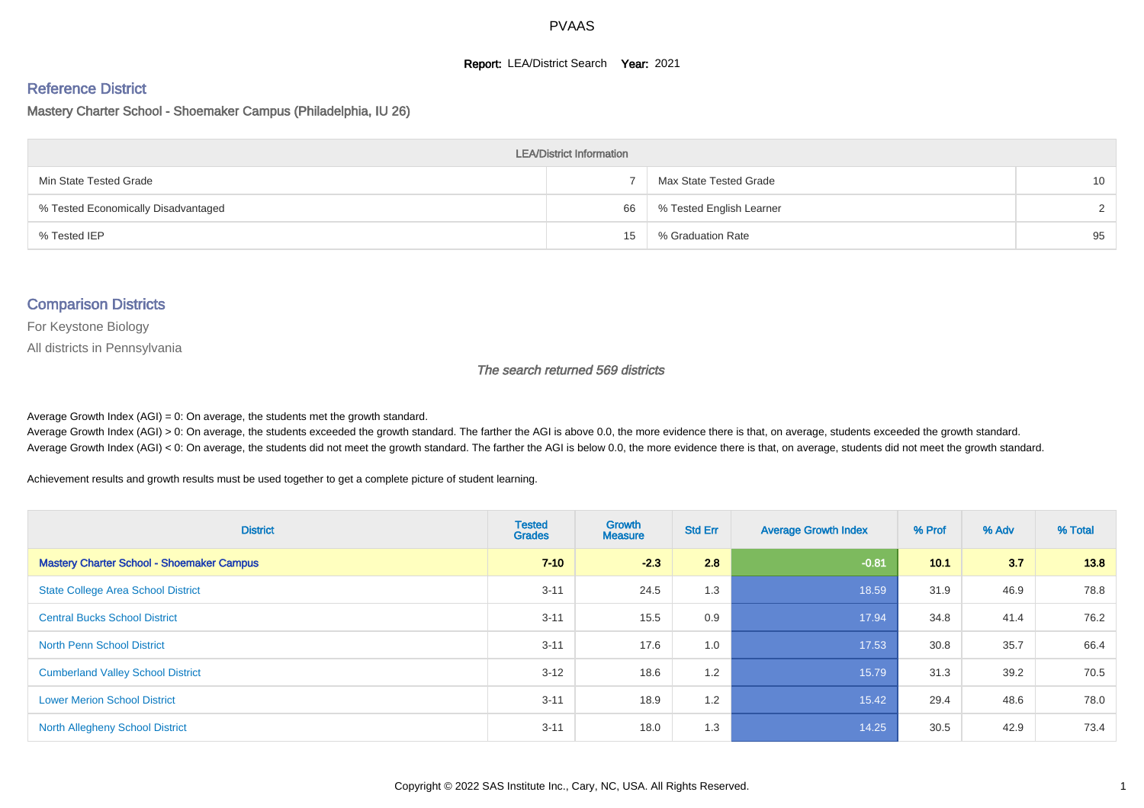#### **Report: LEA/District Search Year: 2021**

# Reference District

Mastery Charter School - Shoemaker Campus (Philadelphia, IU 26)

| <b>LEA/District Information</b>     |    |                          |                 |  |  |  |  |  |  |
|-------------------------------------|----|--------------------------|-----------------|--|--|--|--|--|--|
| Min State Tested Grade              |    | Max State Tested Grade   | 10 <sup>1</sup> |  |  |  |  |  |  |
| % Tested Economically Disadvantaged | 66 | % Tested English Learner | $\mathcal{D}$   |  |  |  |  |  |  |
| % Tested IEP                        | 15 | % Graduation Rate        | 95              |  |  |  |  |  |  |

#### Comparison Districts

For Keystone Biology

All districts in Pennsylvania

The search returned 569 districts

Average Growth Index  $(AGI) = 0$ : On average, the students met the growth standard.

Average Growth Index (AGI) > 0: On average, the students exceeded the growth standard. The farther the AGI is above 0.0, the more evidence there is that, on average, students exceeded the growth standard. Average Growth Index (AGI) < 0: On average, the students did not meet the growth standard. The farther the AGI is below 0.0, the more evidence there is that, on average, students did not meet the growth standard.

Achievement results and growth results must be used together to get a complete picture of student learning.

| <b>District</b>                                  | <b>Tested</b><br><b>Grades</b> | Growth<br><b>Measure</b> | <b>Std Err</b> | <b>Average Growth Index</b> | % Prof | % Adv | % Total |
|--------------------------------------------------|--------------------------------|--------------------------|----------------|-----------------------------|--------|-------|---------|
| <b>Mastery Charter School - Shoemaker Campus</b> | $7 - 10$                       | $-2.3$                   | 2.8            | $-0.81$                     | 10.1   | 3.7   | 13.8    |
| <b>State College Area School District</b>        | $3 - 11$                       | 24.5                     | 1.3            | 18.59                       | 31.9   | 46.9  | 78.8    |
| <b>Central Bucks School District</b>             | $3 - 11$                       | 15.5                     | 0.9            | 17.94                       | 34.8   | 41.4  | 76.2    |
| <b>North Penn School District</b>                | $3 - 11$                       | 17.6                     | 1.0            | 17.53                       | 30.8   | 35.7  | 66.4    |
| <b>Cumberland Valley School District</b>         | $3 - 12$                       | 18.6                     | 1.2            | 15.79                       | 31.3   | 39.2  | 70.5    |
| <b>Lower Merion School District</b>              | $3 - 11$                       | 18.9                     | 1.2            | 15.42                       | 29.4   | 48.6  | 78.0    |
| <b>North Allegheny School District</b>           | $3 - 11$                       | 18.0                     | 1.3            | 14.25                       | 30.5   | 42.9  | 73.4    |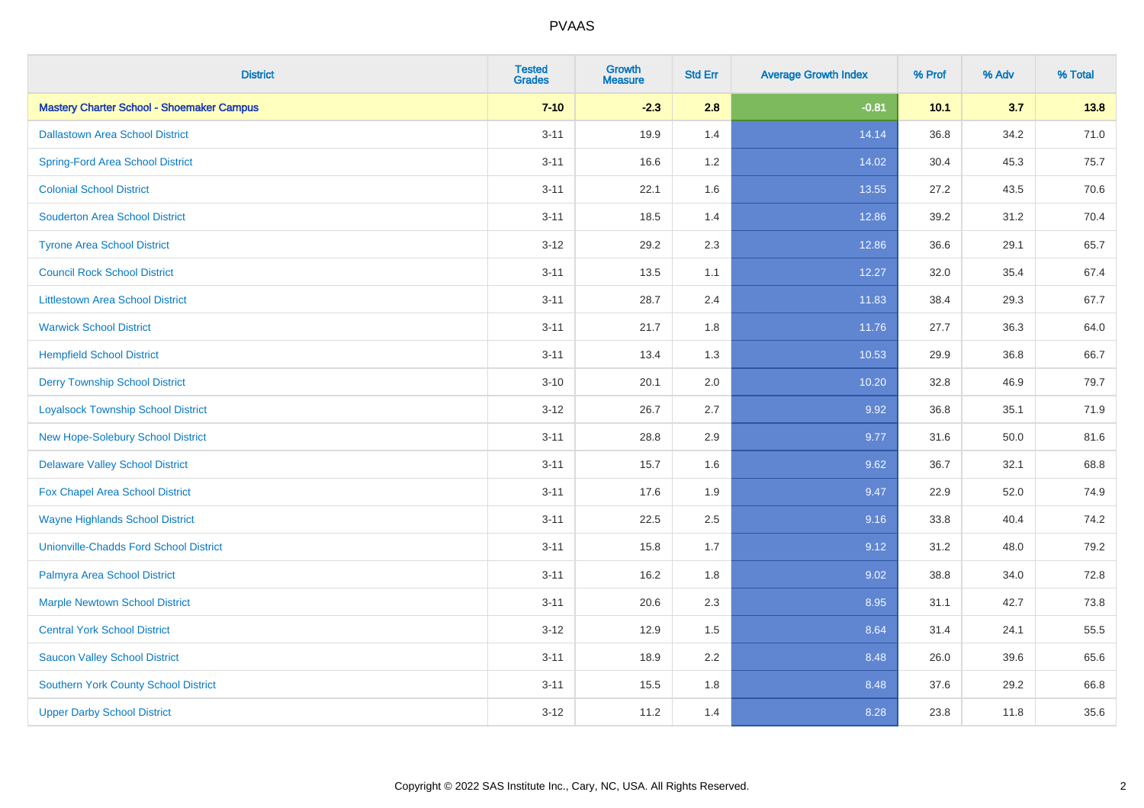| <b>District</b>                                  | <b>Tested</b><br><b>Grades</b> | <b>Growth</b><br><b>Measure</b> | <b>Std Err</b> | <b>Average Growth Index</b> | % Prof | % Adv | % Total |
|--------------------------------------------------|--------------------------------|---------------------------------|----------------|-----------------------------|--------|-------|---------|
| <b>Mastery Charter School - Shoemaker Campus</b> | $7 - 10$                       | $-2.3$                          | 2.8            | $-0.81$                     | 10.1   | 3.7   | 13.8    |
| <b>Dallastown Area School District</b>           | $3 - 11$                       | 19.9                            | 1.4            | 14.14                       | 36.8   | 34.2  | 71.0    |
| <b>Spring-Ford Area School District</b>          | $3 - 11$                       | 16.6                            | 1.2            | 14.02                       | 30.4   | 45.3  | 75.7    |
| <b>Colonial School District</b>                  | $3 - 11$                       | 22.1                            | 1.6            | 13.55                       | 27.2   | 43.5  | 70.6    |
| <b>Souderton Area School District</b>            | $3 - 11$                       | 18.5                            | 1.4            | 12.86                       | 39.2   | 31.2  | 70.4    |
| <b>Tyrone Area School District</b>               | $3 - 12$                       | 29.2                            | 2.3            | 12.86                       | 36.6   | 29.1  | 65.7    |
| <b>Council Rock School District</b>              | $3 - 11$                       | 13.5                            | 1.1            | 12.27                       | 32.0   | 35.4  | 67.4    |
| <b>Littlestown Area School District</b>          | $3 - 11$                       | 28.7                            | 2.4            | 11.83                       | 38.4   | 29.3  | 67.7    |
| <b>Warwick School District</b>                   | $3 - 11$                       | 21.7                            | 1.8            | 11.76                       | 27.7   | 36.3  | 64.0    |
| <b>Hempfield School District</b>                 | $3 - 11$                       | 13.4                            | 1.3            | 10.53                       | 29.9   | 36.8  | 66.7    |
| <b>Derry Township School District</b>            | $3 - 10$                       | 20.1                            | 2.0            | 10.20                       | 32.8   | 46.9  | 79.7    |
| <b>Loyalsock Township School District</b>        | $3 - 12$                       | 26.7                            | 2.7            | 9.92                        | 36.8   | 35.1  | 71.9    |
| New Hope-Solebury School District                | $3 - 11$                       | 28.8                            | 2.9            | 9.77                        | 31.6   | 50.0  | 81.6    |
| <b>Delaware Valley School District</b>           | $3 - 11$                       | 15.7                            | 1.6            | 9.62                        | 36.7   | 32.1  | 68.8    |
| <b>Fox Chapel Area School District</b>           | $3 - 11$                       | 17.6                            | 1.9            | 9.47                        | 22.9   | 52.0  | 74.9    |
| <b>Wayne Highlands School District</b>           | $3 - 11$                       | 22.5                            | 2.5            | 9.16                        | 33.8   | 40.4  | 74.2    |
| <b>Unionville-Chadds Ford School District</b>    | $3 - 11$                       | 15.8                            | 1.7            | 9.12                        | 31.2   | 48.0  | 79.2    |
| Palmyra Area School District                     | $3 - 11$                       | 16.2                            | 1.8            | 9.02                        | 38.8   | 34.0  | 72.8    |
| <b>Marple Newtown School District</b>            | $3 - 11$                       | 20.6                            | 2.3            | 8.95                        | 31.1   | 42.7  | 73.8    |
| <b>Central York School District</b>              | $3 - 12$                       | 12.9                            | 1.5            | 8.64                        | 31.4   | 24.1  | 55.5    |
| <b>Saucon Valley School District</b>             | $3 - 11$                       | 18.9                            | 2.2            | 8.48                        | 26.0   | 39.6  | 65.6    |
| Southern York County School District             | $3 - 11$                       | 15.5                            | 1.8            | 8.48                        | 37.6   | 29.2  | 66.8    |
| <b>Upper Darby School District</b>               | $3 - 12$                       | 11.2                            | 1.4            | 8.28                        | 23.8   | 11.8  | 35.6    |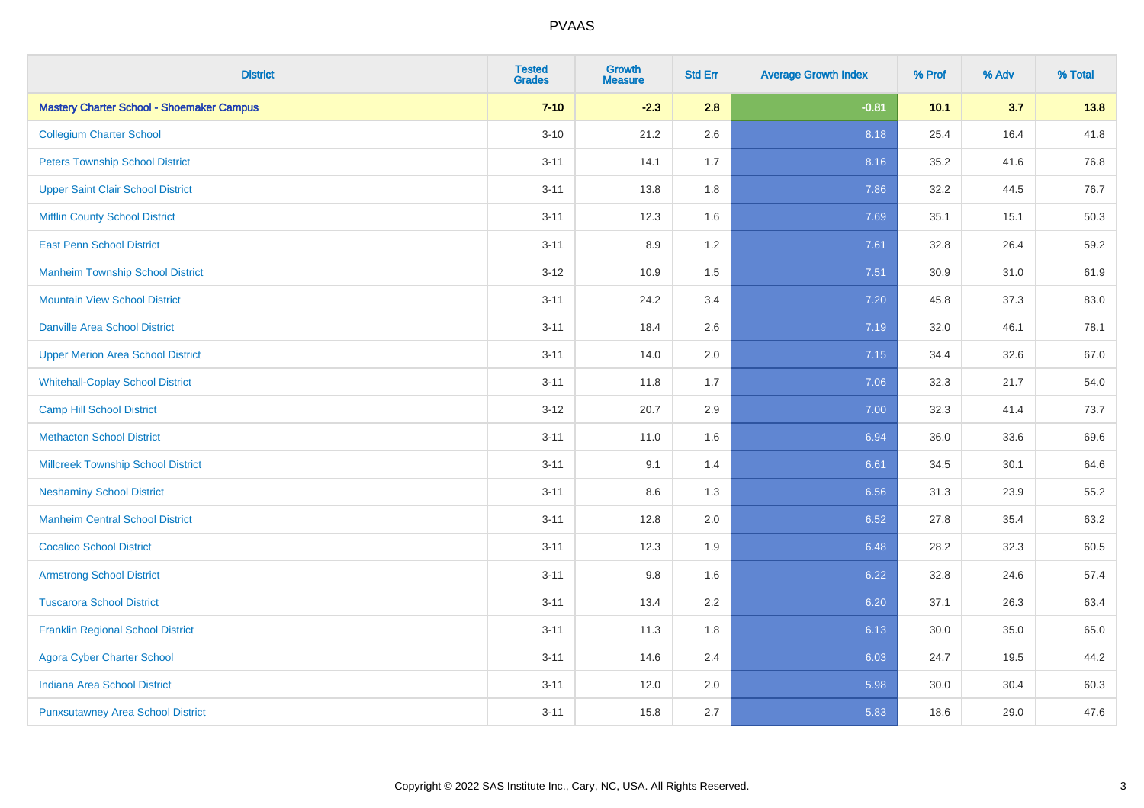| <b>District</b>                                  | <b>Tested</b><br><b>Grades</b> | <b>Growth</b><br><b>Measure</b> | <b>Std Err</b> | <b>Average Growth Index</b> | % Prof | % Adv | % Total |
|--------------------------------------------------|--------------------------------|---------------------------------|----------------|-----------------------------|--------|-------|---------|
| <b>Mastery Charter School - Shoemaker Campus</b> | $7 - 10$                       | $-2.3$                          | 2.8            | $-0.81$                     | 10.1   | 3.7   | 13.8    |
| <b>Collegium Charter School</b>                  | $3 - 10$                       | 21.2                            | 2.6            | 8.18                        | 25.4   | 16.4  | 41.8    |
| <b>Peters Township School District</b>           | $3 - 11$                       | 14.1                            | 1.7            | 8.16                        | 35.2   | 41.6  | 76.8    |
| <b>Upper Saint Clair School District</b>         | $3 - 11$                       | 13.8                            | 1.8            | 7.86                        | 32.2   | 44.5  | 76.7    |
| <b>Mifflin County School District</b>            | $3 - 11$                       | 12.3                            | 1.6            | 7.69                        | 35.1   | 15.1  | 50.3    |
| <b>East Penn School District</b>                 | $3 - 11$                       | 8.9                             | 1.2            | 7.61                        | 32.8   | 26.4  | 59.2    |
| <b>Manheim Township School District</b>          | $3 - 12$                       | 10.9                            | 1.5            | 7.51                        | 30.9   | 31.0  | 61.9    |
| <b>Mountain View School District</b>             | $3 - 11$                       | 24.2                            | 3.4            | 7.20                        | 45.8   | 37.3  | 83.0    |
| <b>Danville Area School District</b>             | $3 - 11$                       | 18.4                            | 2.6            | 7.19                        | 32.0   | 46.1  | 78.1    |
| <b>Upper Merion Area School District</b>         | $3 - 11$                       | 14.0                            | 2.0            | 7.15                        | 34.4   | 32.6  | 67.0    |
| <b>Whitehall-Coplay School District</b>          | $3 - 11$                       | 11.8                            | 1.7            | 7.06                        | 32.3   | 21.7  | 54.0    |
| <b>Camp Hill School District</b>                 | $3 - 12$                       | 20.7                            | 2.9            | 7.00                        | 32.3   | 41.4  | 73.7    |
| <b>Methacton School District</b>                 | $3 - 11$                       | 11.0                            | 1.6            | 6.94                        | 36.0   | 33.6  | 69.6    |
| <b>Millcreek Township School District</b>        | $3 - 11$                       | 9.1                             | 1.4            | 6.61                        | 34.5   | 30.1  | 64.6    |
| <b>Neshaminy School District</b>                 | $3 - 11$                       | 8.6                             | 1.3            | 6.56                        | 31.3   | 23.9  | 55.2    |
| <b>Manheim Central School District</b>           | $3 - 11$                       | 12.8                            | 2.0            | 6.52                        | 27.8   | 35.4  | 63.2    |
| <b>Cocalico School District</b>                  | $3 - 11$                       | 12.3                            | 1.9            | 6.48                        | 28.2   | 32.3  | 60.5    |
| <b>Armstrong School District</b>                 | $3 - 11$                       | 9.8                             | 1.6            | 6.22                        | 32.8   | 24.6  | 57.4    |
| <b>Tuscarora School District</b>                 | $3 - 11$                       | 13.4                            | 2.2            | 6.20                        | 37.1   | 26.3  | 63.4    |
| <b>Franklin Regional School District</b>         | $3 - 11$                       | 11.3                            | 1.8            | 6.13                        | 30.0   | 35.0  | 65.0    |
| <b>Agora Cyber Charter School</b>                | $3 - 11$                       | 14.6                            | 2.4            | 6.03                        | 24.7   | 19.5  | 44.2    |
| <b>Indiana Area School District</b>              | $3 - 11$                       | 12.0                            | 2.0            | 5.98                        | 30.0   | 30.4  | 60.3    |
| <b>Punxsutawney Area School District</b>         | $3 - 11$                       | 15.8                            | 2.7            | 5.83                        | 18.6   | 29.0  | 47.6    |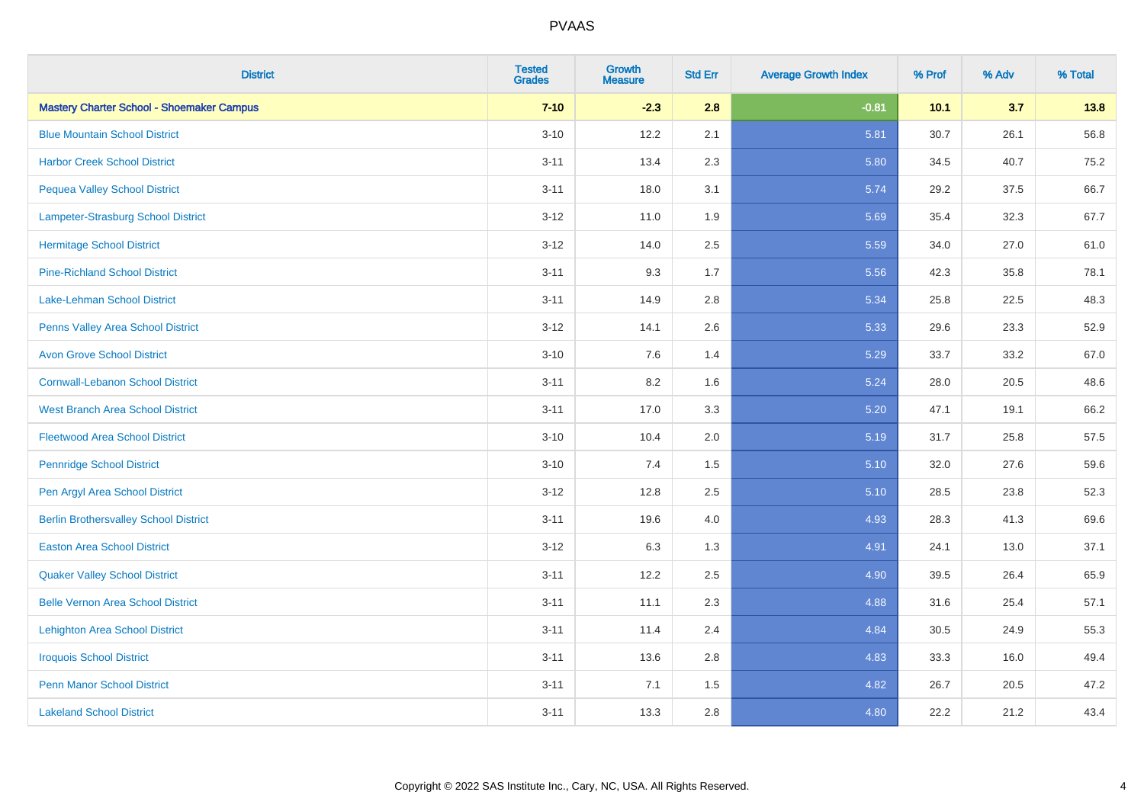| <b>District</b>                                  | <b>Tested</b><br><b>Grades</b> | <b>Growth</b><br><b>Measure</b> | <b>Std Err</b> | <b>Average Growth Index</b> | % Prof | % Adv | % Total |
|--------------------------------------------------|--------------------------------|---------------------------------|----------------|-----------------------------|--------|-------|---------|
| <b>Mastery Charter School - Shoemaker Campus</b> | $7 - 10$                       | $-2.3$                          | 2.8            | $-0.81$                     | 10.1   | 3.7   | 13.8    |
| <b>Blue Mountain School District</b>             | $3 - 10$                       | 12.2                            | 2.1            | 5.81                        | 30.7   | 26.1  | 56.8    |
| <b>Harbor Creek School District</b>              | $3 - 11$                       | 13.4                            | 2.3            | 5.80                        | 34.5   | 40.7  | 75.2    |
| <b>Pequea Valley School District</b>             | $3 - 11$                       | 18.0                            | 3.1            | 5.74                        | 29.2   | 37.5  | 66.7    |
| Lampeter-Strasburg School District               | $3 - 12$                       | 11.0                            | 1.9            | 5.69                        | 35.4   | 32.3  | 67.7    |
| <b>Hermitage School District</b>                 | $3 - 12$                       | 14.0                            | 2.5            | 5.59                        | 34.0   | 27.0  | 61.0    |
| <b>Pine-Richland School District</b>             | $3 - 11$                       | 9.3                             | 1.7            | 5.56                        | 42.3   | 35.8  | 78.1    |
| <b>Lake-Lehman School District</b>               | $3 - 11$                       | 14.9                            | 2.8            | 5.34                        | 25.8   | 22.5  | 48.3    |
| Penns Valley Area School District                | $3 - 12$                       | 14.1                            | 2.6            | 5.33                        | 29.6   | 23.3  | 52.9    |
| <b>Avon Grove School District</b>                | $3 - 10$                       | 7.6                             | 1.4            | 5.29                        | 33.7   | 33.2  | 67.0    |
| <b>Cornwall-Lebanon School District</b>          | $3 - 11$                       | 8.2                             | 1.6            | 5.24                        | 28.0   | 20.5  | 48.6    |
| <b>West Branch Area School District</b>          | $3 - 11$                       | 17.0                            | 3.3            | 5.20                        | 47.1   | 19.1  | 66.2    |
| <b>Fleetwood Area School District</b>            | $3 - 10$                       | 10.4                            | 2.0            | 5.19                        | 31.7   | 25.8  | 57.5    |
| <b>Pennridge School District</b>                 | $3 - 10$                       | 7.4                             | 1.5            | 5.10                        | 32.0   | 27.6  | 59.6    |
| Pen Argyl Area School District                   | $3 - 12$                       | 12.8                            | 2.5            | 5.10                        | 28.5   | 23.8  | 52.3    |
| <b>Berlin Brothersvalley School District</b>     | $3 - 11$                       | 19.6                            | 4.0            | 4.93                        | 28.3   | 41.3  | 69.6    |
| <b>Easton Area School District</b>               | $3 - 12$                       | 6.3                             | 1.3            | 4.91                        | 24.1   | 13.0  | 37.1    |
| <b>Quaker Valley School District</b>             | $3 - 11$                       | 12.2                            | 2.5            | 4.90                        | 39.5   | 26.4  | 65.9    |
| <b>Belle Vernon Area School District</b>         | $3 - 11$                       | 11.1                            | 2.3            | 4.88                        | 31.6   | 25.4  | 57.1    |
| <b>Lehighton Area School District</b>            | $3 - 11$                       | 11.4                            | 2.4            | 4.84                        | 30.5   | 24.9  | 55.3    |
| <b>Iroquois School District</b>                  | $3 - 11$                       | 13.6                            | 2.8            | 4.83                        | 33.3   | 16.0  | 49.4    |
| <b>Penn Manor School District</b>                | $3 - 11$                       | 7.1                             | 1.5            | 4.82                        | 26.7   | 20.5  | 47.2    |
| <b>Lakeland School District</b>                  | $3 - 11$                       | 13.3                            | 2.8            | 4.80                        | 22.2   | 21.2  | 43.4    |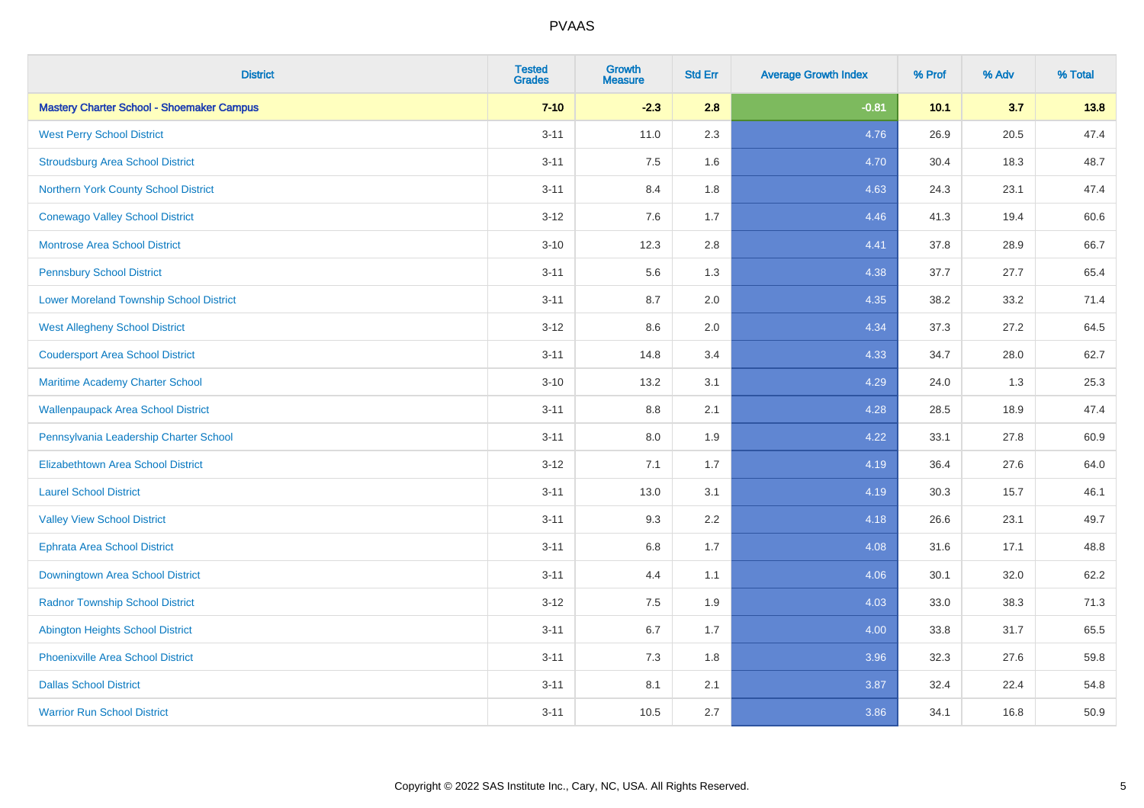| <b>District</b>                                  | <b>Tested</b><br><b>Grades</b> | <b>Growth</b><br><b>Measure</b> | <b>Std Err</b> | <b>Average Growth Index</b> | % Prof | % Adv | % Total |
|--------------------------------------------------|--------------------------------|---------------------------------|----------------|-----------------------------|--------|-------|---------|
| <b>Mastery Charter School - Shoemaker Campus</b> | $7 - 10$                       | $-2.3$                          | 2.8            | $-0.81$                     | 10.1   | 3.7   | 13.8    |
| <b>West Perry School District</b>                | $3 - 11$                       | 11.0                            | 2.3            | 4.76                        | 26.9   | 20.5  | 47.4    |
| <b>Stroudsburg Area School District</b>          | $3 - 11$                       | 7.5                             | 1.6            | 4.70                        | 30.4   | 18.3  | 48.7    |
| Northern York County School District             | $3 - 11$                       | 8.4                             | 1.8            | 4.63                        | 24.3   | 23.1  | 47.4    |
| <b>Conewago Valley School District</b>           | $3 - 12$                       | 7.6                             | 1.7            | 4.46                        | 41.3   | 19.4  | 60.6    |
| <b>Montrose Area School District</b>             | $3 - 10$                       | 12.3                            | 2.8            | 4.41                        | 37.8   | 28.9  | 66.7    |
| <b>Pennsbury School District</b>                 | $3 - 11$                       | 5.6                             | 1.3            | 4.38                        | 37.7   | 27.7  | 65.4    |
| <b>Lower Moreland Township School District</b>   | $3 - 11$                       | 8.7                             | 2.0            | 4.35                        | 38.2   | 33.2  | 71.4    |
| <b>West Allegheny School District</b>            | $3 - 12$                       | 8.6                             | 2.0            | 4.34                        | 37.3   | 27.2  | 64.5    |
| <b>Coudersport Area School District</b>          | $3 - 11$                       | 14.8                            | 3.4            | 4.33                        | 34.7   | 28.0  | 62.7    |
| Maritime Academy Charter School                  | $3 - 10$                       | 13.2                            | 3.1            | 4.29                        | 24.0   | 1.3   | 25.3    |
| <b>Wallenpaupack Area School District</b>        | $3 - 11$                       | 8.8                             | 2.1            | 4.28                        | 28.5   | 18.9  | 47.4    |
| Pennsylvania Leadership Charter School           | $3 - 11$                       | 8.0                             | 1.9            | 4.22                        | 33.1   | 27.8  | 60.9    |
| <b>Elizabethtown Area School District</b>        | $3 - 12$                       | 7.1                             | 1.7            | 4.19                        | 36.4   | 27.6  | 64.0    |
| <b>Laurel School District</b>                    | $3 - 11$                       | 13.0                            | 3.1            | 4.19                        | 30.3   | 15.7  | 46.1    |
| <b>Valley View School District</b>               | $3 - 11$                       | 9.3                             | 2.2            | 4.18                        | 26.6   | 23.1  | 49.7    |
| <b>Ephrata Area School District</b>              | $3 - 11$                       | 6.8                             | 1.7            | 4.08                        | 31.6   | 17.1  | 48.8    |
| <b>Downingtown Area School District</b>          | $3 - 11$                       | 4.4                             | 1.1            | 4.06                        | 30.1   | 32.0  | 62.2    |
| <b>Radnor Township School District</b>           | $3 - 12$                       | 7.5                             | 1.9            | 4.03                        | 33.0   | 38.3  | 71.3    |
| <b>Abington Heights School District</b>          | $3 - 11$                       | 6.7                             | 1.7            | 4.00                        | 33.8   | 31.7  | 65.5    |
| Phoenixville Area School District                | $3 - 11$                       | 7.3                             | 1.8            | 3.96                        | 32.3   | 27.6  | 59.8    |
| <b>Dallas School District</b>                    | $3 - 11$                       | 8.1                             | 2.1            | 3.87                        | 32.4   | 22.4  | 54.8    |
| <b>Warrior Run School District</b>               | $3 - 11$                       | 10.5                            | 2.7            | 3.86                        | 34.1   | 16.8  | 50.9    |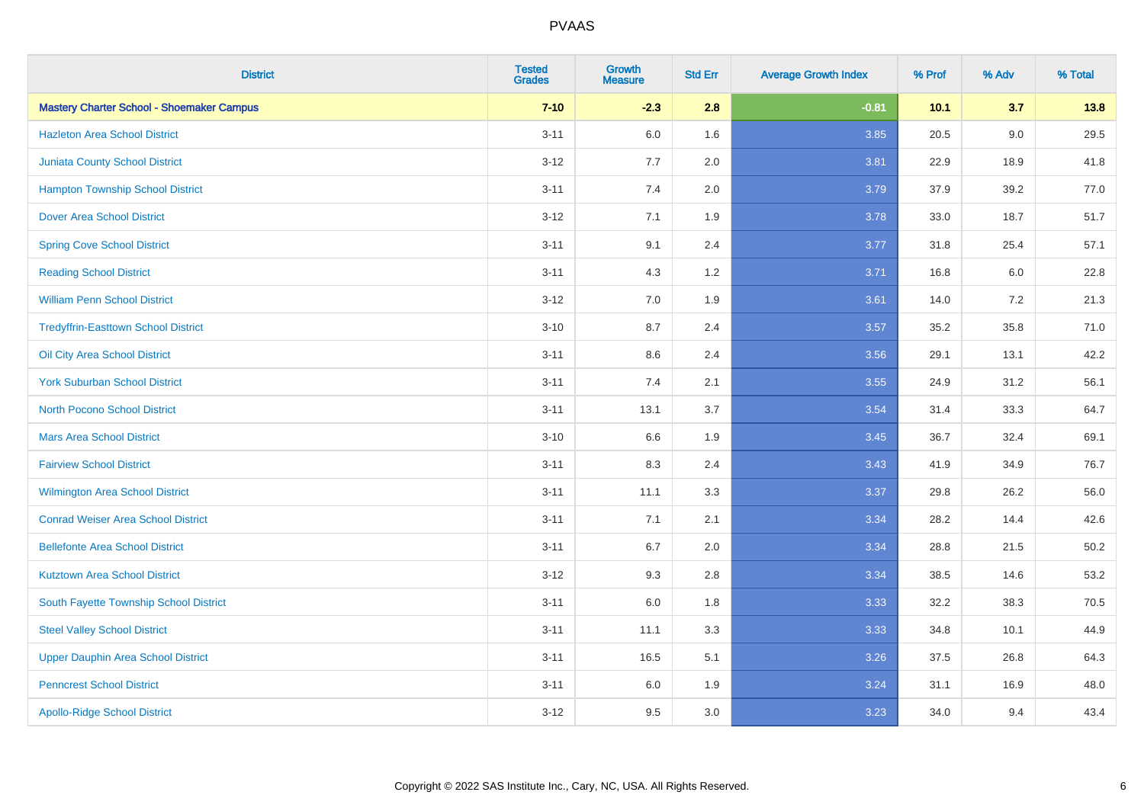| <b>District</b>                                  | <b>Tested</b><br><b>Grades</b> | <b>Growth</b><br><b>Measure</b> | <b>Std Err</b> | <b>Average Growth Index</b> | % Prof | % Adv   | % Total  |
|--------------------------------------------------|--------------------------------|---------------------------------|----------------|-----------------------------|--------|---------|----------|
| <b>Mastery Charter School - Shoemaker Campus</b> | $7 - 10$                       | $-2.3$                          | 2.8            | $-0.81$                     | 10.1   | 3.7     | 13.8     |
| <b>Hazleton Area School District</b>             | $3 - 11$                       | 6.0                             | 1.6            | 3.85                        | 20.5   | $9.0\,$ | 29.5     |
| <b>Juniata County School District</b>            | $3 - 12$                       | 7.7                             | 2.0            | 3.81                        | 22.9   | 18.9    | 41.8     |
| <b>Hampton Township School District</b>          | $3 - 11$                       | 7.4                             | 2.0            | 3.79                        | 37.9   | 39.2    | 77.0     |
| <b>Dover Area School District</b>                | $3 - 12$                       | 7.1                             | 1.9            | 3.78                        | 33.0   | 18.7    | 51.7     |
| <b>Spring Cove School District</b>               | $3 - 11$                       | 9.1                             | 2.4            | 3.77                        | 31.8   | 25.4    | 57.1     |
| <b>Reading School District</b>                   | $3 - 11$                       | 4.3                             | 1.2            | 3.71                        | 16.8   | 6.0     | 22.8     |
| <b>William Penn School District</b>              | $3 - 12$                       | 7.0                             | 1.9            | 3.61                        | 14.0   | 7.2     | 21.3     |
| <b>Tredyffrin-Easttown School District</b>       | $3 - 10$                       | 8.7                             | 2.4            | 3.57                        | 35.2   | 35.8    | 71.0     |
| Oil City Area School District                    | $3 - 11$                       | 8.6                             | 2.4            | 3.56                        | 29.1   | 13.1    | 42.2     |
| <b>York Suburban School District</b>             | $3 - 11$                       | 7.4                             | 2.1            | 3.55                        | 24.9   | 31.2    | 56.1     |
| <b>North Pocono School District</b>              | $3 - 11$                       | 13.1                            | 3.7            | 3.54                        | 31.4   | 33.3    | 64.7     |
| <b>Mars Area School District</b>                 | $3 - 10$                       | 6.6                             | 1.9            | 3.45                        | 36.7   | 32.4    | 69.1     |
| <b>Fairview School District</b>                  | $3 - 11$                       | 8.3                             | 2.4            | 3.43                        | 41.9   | 34.9    | 76.7     |
| Wilmington Area School District                  | $3 - 11$                       | 11.1                            | 3.3            | 3.37                        | 29.8   | 26.2    | 56.0     |
| <b>Conrad Weiser Area School District</b>        | $3 - 11$                       | 7.1                             | 2.1            | 3.34                        | 28.2   | 14.4    | 42.6     |
| <b>Bellefonte Area School District</b>           | $3 - 11$                       | 6.7                             | 2.0            | 3.34                        | 28.8   | 21.5    | $50.2\,$ |
| <b>Kutztown Area School District</b>             | $3 - 12$                       | 9.3                             | 2.8            | 3.34                        | 38.5   | 14.6    | 53.2     |
| South Fayette Township School District           | $3 - 11$                       | $6.0\,$                         | 1.8            | 3.33                        | 32.2   | 38.3    | 70.5     |
| <b>Steel Valley School District</b>              | $3 - 11$                       | 11.1                            | 3.3            | 3.33                        | 34.8   | 10.1    | 44.9     |
| <b>Upper Dauphin Area School District</b>        | $3 - 11$                       | 16.5                            | 5.1            | 3.26                        | 37.5   | 26.8    | 64.3     |
| <b>Penncrest School District</b>                 | $3 - 11$                       | 6.0                             | 1.9            | 3.24                        | 31.1   | 16.9    | 48.0     |
| <b>Apollo-Ridge School District</b>              | $3-12$                         | 9.5                             | 3.0            | 3.23                        | 34.0   | 9.4     | 43.4     |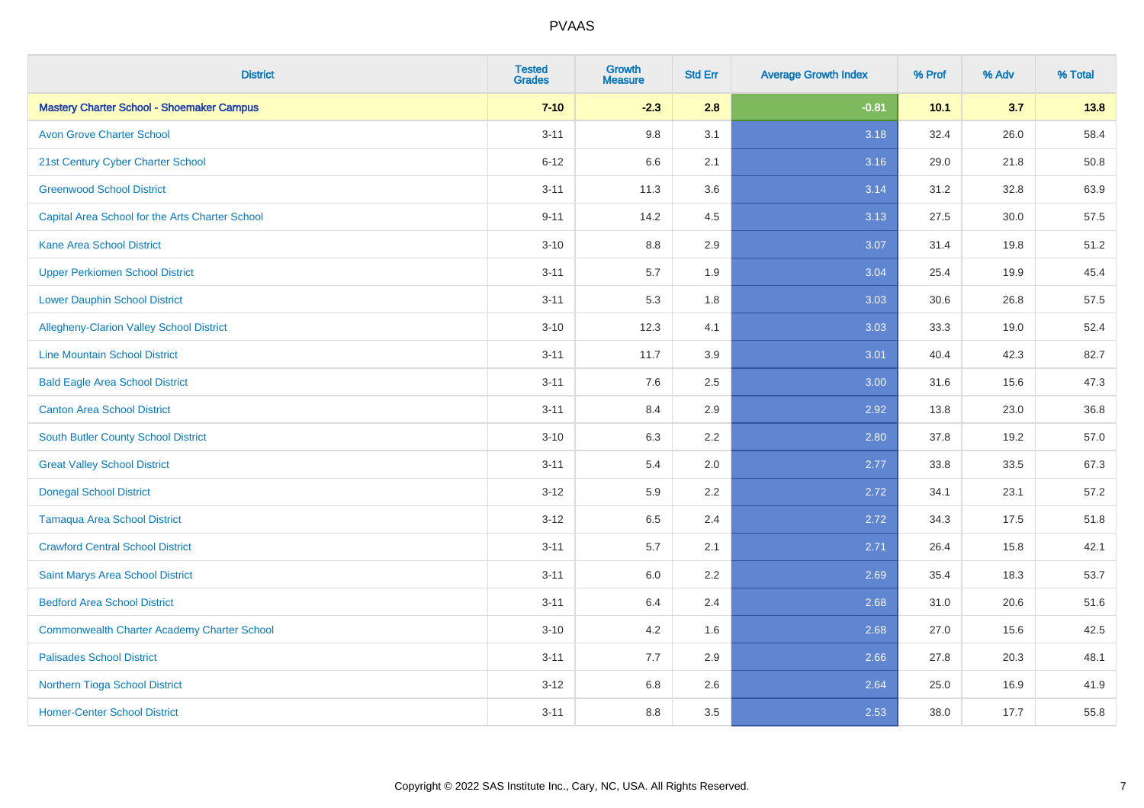| <b>District</b>                                    | <b>Tested</b><br><b>Grades</b> | <b>Growth</b><br><b>Measure</b> | <b>Std Err</b> | <b>Average Growth Index</b> | % Prof | % Adv | % Total |
|----------------------------------------------------|--------------------------------|---------------------------------|----------------|-----------------------------|--------|-------|---------|
| <b>Mastery Charter School - Shoemaker Campus</b>   | $7 - 10$                       | $-2.3$                          | 2.8            | $-0.81$                     | 10.1   | 3.7   | 13.8    |
| <b>Avon Grove Charter School</b>                   | $3 - 11$                       | 9.8                             | 3.1            | 3.18                        | 32.4   | 26.0  | 58.4    |
| 21st Century Cyber Charter School                  | $6 - 12$                       | 6.6                             | 2.1            | 3.16                        | 29.0   | 21.8  | 50.8    |
| <b>Greenwood School District</b>                   | $3 - 11$                       | 11.3                            | 3.6            | 3.14                        | 31.2   | 32.8  | 63.9    |
| Capital Area School for the Arts Charter School    | $9 - 11$                       | 14.2                            | 4.5            | 3.13                        | 27.5   | 30.0  | 57.5    |
| <b>Kane Area School District</b>                   | $3 - 10$                       | 8.8                             | 2.9            | 3.07                        | 31.4   | 19.8  | 51.2    |
| <b>Upper Perkiomen School District</b>             | $3 - 11$                       | 5.7                             | 1.9            | 3.04                        | 25.4   | 19.9  | 45.4    |
| <b>Lower Dauphin School District</b>               | $3 - 11$                       | 5.3                             | 1.8            | 3.03                        | 30.6   | 26.8  | 57.5    |
| Allegheny-Clarion Valley School District           | $3 - 10$                       | 12.3                            | 4.1            | 3.03                        | 33.3   | 19.0  | 52.4    |
| <b>Line Mountain School District</b>               | $3 - 11$                       | 11.7                            | 3.9            | 3.01                        | 40.4   | 42.3  | 82.7    |
| <b>Bald Eagle Area School District</b>             | $3 - 11$                       | 7.6                             | 2.5            | 3.00                        | 31.6   | 15.6  | 47.3    |
| <b>Canton Area School District</b>                 | $3 - 11$                       | 8.4                             | 2.9            | 2.92                        | 13.8   | 23.0  | 36.8    |
| South Butler County School District                | $3 - 10$                       | 6.3                             | 2.2            | 2.80                        | 37.8   | 19.2  | 57.0    |
| <b>Great Valley School District</b>                | $3 - 11$                       | 5.4                             | 2.0            | 2.77                        | 33.8   | 33.5  | 67.3    |
| <b>Donegal School District</b>                     | $3 - 12$                       | 5.9                             | 2.2            | 2.72                        | 34.1   | 23.1  | 57.2    |
| <b>Tamaqua Area School District</b>                | $3-12$                         | 6.5                             | 2.4            | 2.72                        | 34.3   | 17.5  | 51.8    |
| <b>Crawford Central School District</b>            | $3 - 11$                       | 5.7                             | 2.1            | 2.71                        | 26.4   | 15.8  | 42.1    |
| Saint Marys Area School District                   | $3 - 11$                       | 6.0                             | 2.2            | 2.69                        | 35.4   | 18.3  | 53.7    |
| <b>Bedford Area School District</b>                | $3 - 11$                       | 6.4                             | 2.4            | 2.68                        | 31.0   | 20.6  | 51.6    |
| <b>Commonwealth Charter Academy Charter School</b> | $3 - 10$                       | 4.2                             | 1.6            | 2.68                        | 27.0   | 15.6  | 42.5    |
| <b>Palisades School District</b>                   | $3 - 11$                       | 7.7                             | 2.9            | 2.66                        | 27.8   | 20.3  | 48.1    |
| <b>Northern Tioga School District</b>              | $3 - 12$                       | 6.8                             | 2.6            | 2.64                        | 25.0   | 16.9  | 41.9    |
| <b>Homer-Center School District</b>                | $3 - 11$                       | 8.8                             | 3.5            | 2.53                        | 38.0   | 17.7  | 55.8    |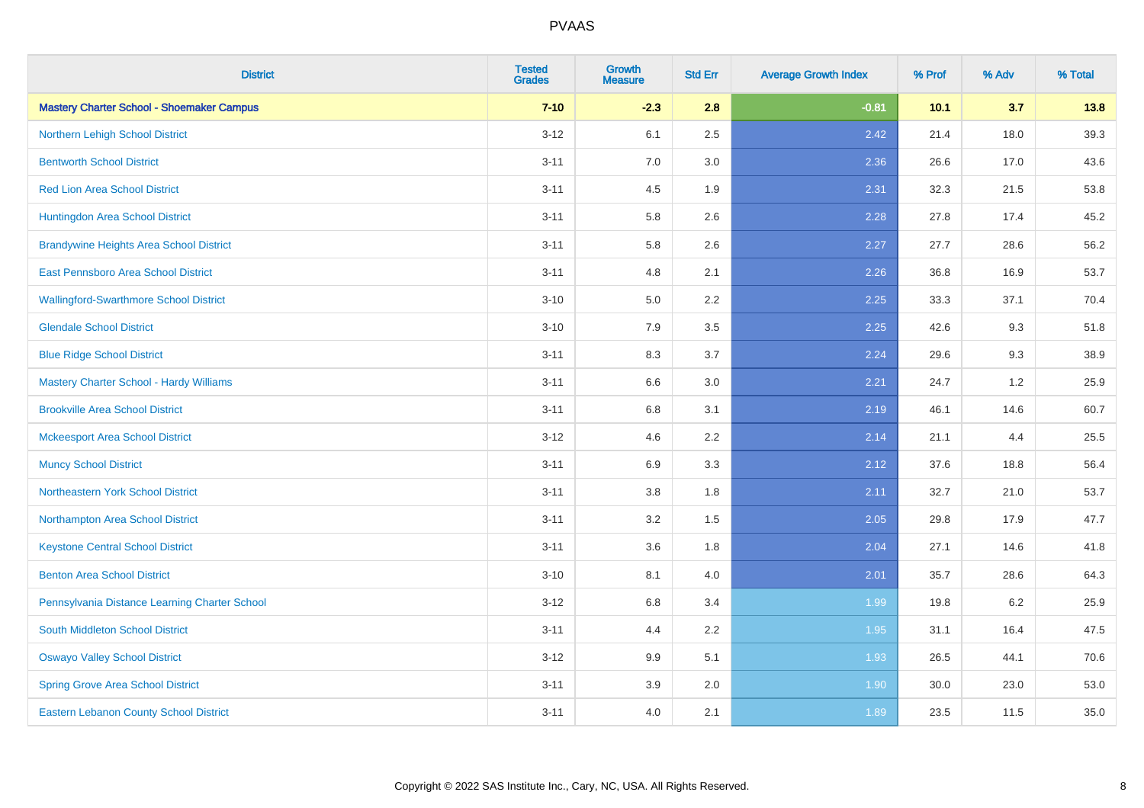| <b>District</b>                                  | <b>Tested</b><br><b>Grades</b> | <b>Growth</b><br><b>Measure</b> | <b>Std Err</b> | <b>Average Growth Index</b> | % Prof | % Adv | % Total |
|--------------------------------------------------|--------------------------------|---------------------------------|----------------|-----------------------------|--------|-------|---------|
| <b>Mastery Charter School - Shoemaker Campus</b> | $7 - 10$                       | $-2.3$                          | 2.8            | $-0.81$                     | 10.1   | 3.7   | 13.8    |
| Northern Lehigh School District                  | $3 - 12$                       | 6.1                             | 2.5            | 2.42                        | 21.4   | 18.0  | 39.3    |
| <b>Bentworth School District</b>                 | $3 - 11$                       | 7.0                             | 3.0            | 2.36                        | 26.6   | 17.0  | 43.6    |
| <b>Red Lion Area School District</b>             | $3 - 11$                       | 4.5                             | 1.9            | 2.31                        | 32.3   | 21.5  | 53.8    |
| Huntingdon Area School District                  | $3 - 11$                       | 5.8                             | 2.6            | 2.28                        | 27.8   | 17.4  | 45.2    |
| <b>Brandywine Heights Area School District</b>   | $3 - 11$                       | 5.8                             | 2.6            | 2.27                        | 27.7   | 28.6  | 56.2    |
| East Pennsboro Area School District              | $3 - 11$                       | 4.8                             | 2.1            | 2.26                        | 36.8   | 16.9  | 53.7    |
| <b>Wallingford-Swarthmore School District</b>    | $3 - 10$                       | 5.0                             | 2.2            | 2.25                        | 33.3   | 37.1  | 70.4    |
| <b>Glendale School District</b>                  | $3 - 10$                       | 7.9                             | 3.5            | 2.25                        | 42.6   | 9.3   | 51.8    |
| <b>Blue Ridge School District</b>                | $3 - 11$                       | 8.3                             | 3.7            | 2.24                        | 29.6   | 9.3   | 38.9    |
| Mastery Charter School - Hardy Williams          | $3 - 11$                       | 6.6                             | 3.0            | 2.21                        | 24.7   | 1.2   | 25.9    |
| <b>Brookville Area School District</b>           | $3 - 11$                       | $6.8\,$                         | 3.1            | 2.19                        | 46.1   | 14.6  | 60.7    |
| <b>Mckeesport Area School District</b>           | $3-12$                         | 4.6                             | 2.2            | 2.14                        | 21.1   | 4.4   | 25.5    |
| <b>Muncy School District</b>                     | $3 - 11$                       | 6.9                             | 3.3            | 2.12                        | 37.6   | 18.8  | 56.4    |
| Northeastern York School District                | $3 - 11$                       | $3.8\,$                         | 1.8            | 2.11                        | 32.7   | 21.0  | 53.7    |
| Northampton Area School District                 | $3 - 11$                       | 3.2                             | 1.5            | 2.05                        | 29.8   | 17.9  | 47.7    |
| <b>Keystone Central School District</b>          | $3 - 11$                       | 3.6                             | 1.8            | 2.04                        | 27.1   | 14.6  | 41.8    |
| <b>Benton Area School District</b>               | $3 - 10$                       | 8.1                             | 4.0            | 2.01                        | 35.7   | 28.6  | 64.3    |
| Pennsylvania Distance Learning Charter School    | $3 - 12$                       | 6.8                             | 3.4            | 1.99                        | 19.8   | 6.2   | 25.9    |
| South Middleton School District                  | $3 - 11$                       | 4.4                             | 2.2            | 1.95                        | 31.1   | 16.4  | 47.5    |
| <b>Oswayo Valley School District</b>             | $3 - 12$                       | 9.9                             | 5.1            | 1.93                        | 26.5   | 44.1  | 70.6    |
| <b>Spring Grove Area School District</b>         | $3 - 11$                       | 3.9                             | 2.0            | 1.90                        | 30.0   | 23.0  | 53.0    |
| <b>Eastern Lebanon County School District</b>    | $3 - 11$                       | 4.0                             | 2.1            | 1.89                        | 23.5   | 11.5  | 35.0    |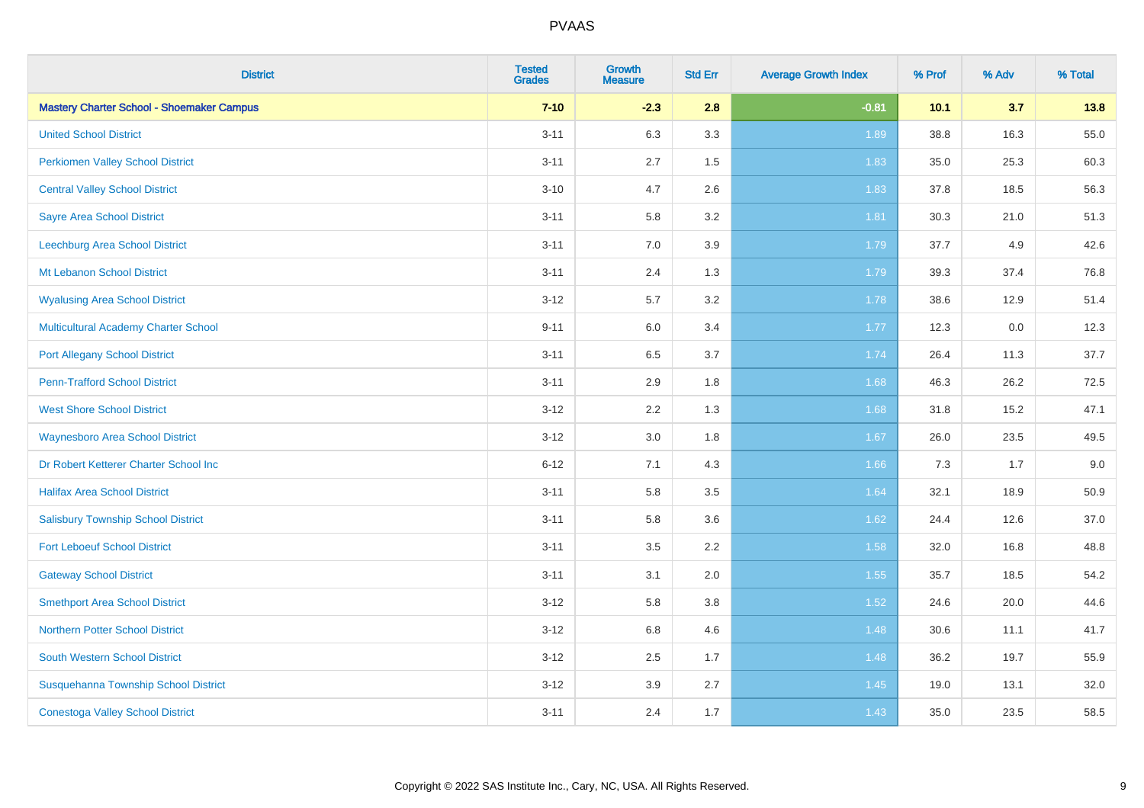| <b>District</b>                                  | <b>Tested</b><br><b>Grades</b> | <b>Growth</b><br><b>Measure</b> | <b>Std Err</b> | <b>Average Growth Index</b> | % Prof | % Adv | % Total |
|--------------------------------------------------|--------------------------------|---------------------------------|----------------|-----------------------------|--------|-------|---------|
| <b>Mastery Charter School - Shoemaker Campus</b> | $7 - 10$                       | $-2.3$                          | 2.8            | $-0.81$                     | 10.1   | 3.7   | 13.8    |
| <b>United School District</b>                    | $3 - 11$                       | 6.3                             | 3.3            | 1.89                        | 38.8   | 16.3  | 55.0    |
| <b>Perkiomen Valley School District</b>          | $3 - 11$                       | 2.7                             | 1.5            | 1.83                        | 35.0   | 25.3  | 60.3    |
| <b>Central Valley School District</b>            | $3 - 10$                       | 4.7                             | 2.6            | 1.83                        | 37.8   | 18.5  | 56.3    |
| <b>Sayre Area School District</b>                | $3 - 11$                       | 5.8                             | 3.2            | 1.81                        | 30.3   | 21.0  | 51.3    |
| Leechburg Area School District                   | $3 - 11$                       | 7.0                             | 3.9            | 1.79                        | 37.7   | 4.9   | 42.6    |
| Mt Lebanon School District                       | $3 - 11$                       | 2.4                             | 1.3            | 1.79                        | 39.3   | 37.4  | 76.8    |
| <b>Wyalusing Area School District</b>            | $3 - 12$                       | 5.7                             | 3.2            | 1.78                        | 38.6   | 12.9  | 51.4    |
| <b>Multicultural Academy Charter School</b>      | $9 - 11$                       | 6.0                             | 3.4            | 1.77                        | 12.3   | 0.0   | 12.3    |
| <b>Port Allegany School District</b>             | $3 - 11$                       | 6.5                             | 3.7            | 1.74                        | 26.4   | 11.3  | 37.7    |
| <b>Penn-Trafford School District</b>             | $3 - 11$                       | 2.9                             | 1.8            | 1.68                        | 46.3   | 26.2  | 72.5    |
| <b>West Shore School District</b>                | $3 - 12$                       | 2.2                             | 1.3            | 1.68                        | 31.8   | 15.2  | 47.1    |
| <b>Waynesboro Area School District</b>           | $3 - 12$                       | $3.0\,$                         | 1.8            | 1.67                        | 26.0   | 23.5  | 49.5    |
| Dr Robert Ketterer Charter School Inc            | $6 - 12$                       | 7.1                             | 4.3            | 1.66                        | 7.3    | 1.7   | 9.0     |
| <b>Halifax Area School District</b>              | $3 - 11$                       | 5.8                             | 3.5            | 1.64                        | 32.1   | 18.9  | 50.9    |
| <b>Salisbury Township School District</b>        | $3 - 11$                       | 5.8                             | 3.6            | 1.62                        | 24.4   | 12.6  | 37.0    |
| <b>Fort Leboeuf School District</b>              | $3 - 11$                       | 3.5                             | 2.2            | 1.58                        | 32.0   | 16.8  | 48.8    |
| <b>Gateway School District</b>                   | $3 - 11$                       | 3.1                             | 2.0            | 1.55                        | 35.7   | 18.5  | 54.2    |
| <b>Smethport Area School District</b>            | $3 - 12$                       | 5.8                             | 3.8            | 1.52                        | 24.6   | 20.0  | 44.6    |
| <b>Northern Potter School District</b>           | $3-12$                         | $6.8\,$                         | 4.6            | 1.48                        | 30.6   | 11.1  | 41.7    |
| South Western School District                    | $3 - 12$                       | 2.5                             | 1.7            | 1.48                        | 36.2   | 19.7  | 55.9    |
| Susquehanna Township School District             | $3 - 12$                       | 3.9                             | 2.7            | 1.45                        | 19.0   | 13.1  | 32.0    |
| <b>Conestoga Valley School District</b>          | $3 - 11$                       | 2.4                             | 1.7            | 1.43                        | 35.0   | 23.5  | 58.5    |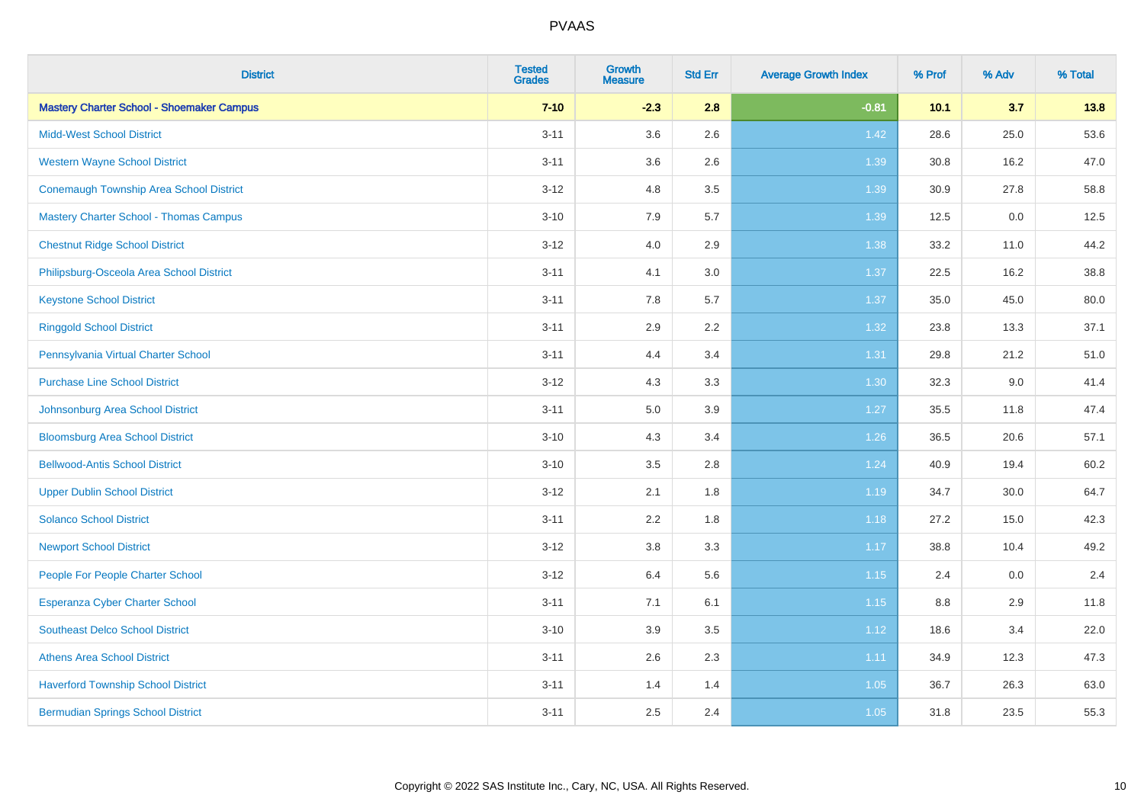| <b>District</b>                                  | <b>Tested</b><br><b>Grades</b> | <b>Growth</b><br><b>Measure</b> | <b>Std Err</b> | <b>Average Growth Index</b> | % Prof | % Adv | % Total |
|--------------------------------------------------|--------------------------------|---------------------------------|----------------|-----------------------------|--------|-------|---------|
| <b>Mastery Charter School - Shoemaker Campus</b> | $7 - 10$                       | $-2.3$                          | 2.8            | $-0.81$                     | 10.1   | 3.7   | 13.8    |
| <b>Midd-West School District</b>                 | $3 - 11$                       | 3.6                             | 2.6            | 1.42                        | 28.6   | 25.0  | 53.6    |
| <b>Western Wayne School District</b>             | $3 - 11$                       | 3.6                             | 2.6            | 1.39                        | 30.8   | 16.2  | 47.0    |
| Conemaugh Township Area School District          | $3-12$                         | 4.8                             | 3.5            | 1.39                        | 30.9   | 27.8  | 58.8    |
| <b>Mastery Charter School - Thomas Campus</b>    | $3 - 10$                       | 7.9                             | 5.7            | 1.39                        | 12.5   | 0.0   | 12.5    |
| <b>Chestnut Ridge School District</b>            | $3 - 12$                       | 4.0                             | 2.9            | 1.38                        | 33.2   | 11.0  | 44.2    |
| Philipsburg-Osceola Area School District         | $3 - 11$                       | 4.1                             | 3.0            | 1.37                        | 22.5   | 16.2  | 38.8    |
| <b>Keystone School District</b>                  | $3 - 11$                       | 7.8                             | 5.7            | 1.37                        | 35.0   | 45.0  | 80.0    |
| <b>Ringgold School District</b>                  | $3 - 11$                       | 2.9                             | 2.2            | 1.32                        | 23.8   | 13.3  | 37.1    |
| Pennsylvania Virtual Charter School              | $3 - 11$                       | 4.4                             | 3.4            | 1.31                        | 29.8   | 21.2  | 51.0    |
| <b>Purchase Line School District</b>             | $3 - 12$                       | 4.3                             | 3.3            | 1.30                        | 32.3   | 9.0   | 41.4    |
| Johnsonburg Area School District                 | $3 - 11$                       | 5.0                             | 3.9            | 1.27                        | 35.5   | 11.8  | 47.4    |
| <b>Bloomsburg Area School District</b>           | $3 - 10$                       | 4.3                             | 3.4            | 1.26                        | 36.5   | 20.6  | 57.1    |
| <b>Bellwood-Antis School District</b>            | $3 - 10$                       | 3.5                             | 2.8            | 1.24                        | 40.9   | 19.4  | 60.2    |
| <b>Upper Dublin School District</b>              | $3-12$                         | 2.1                             | 1.8            | 1.19                        | 34.7   | 30.0  | 64.7    |
| <b>Solanco School District</b>                   | $3 - 11$                       | 2.2                             | 1.8            | 1.18                        | 27.2   | 15.0  | 42.3    |
| <b>Newport School District</b>                   | $3 - 12$                       | 3.8                             | 3.3            | 1.17                        | 38.8   | 10.4  | 49.2    |
| People For People Charter School                 | $3 - 12$                       | 6.4                             | 5.6            | $1.15$                      | 2.4    | 0.0   | 2.4     |
| <b>Esperanza Cyber Charter School</b>            | $3 - 11$                       | 7.1                             | 6.1            | $1.15$                      | 8.8    | 2.9   | 11.8    |
| <b>Southeast Delco School District</b>           | $3 - 10$                       | 3.9                             | 3.5            | 1.12                        | 18.6   | 3.4   | 22.0    |
| <b>Athens Area School District</b>               | $3 - 11$                       | 2.6                             | 2.3            | 1.11                        | 34.9   | 12.3  | 47.3    |
| <b>Haverford Township School District</b>        | $3 - 11$                       | 1.4                             | 1.4            | $1.05$                      | 36.7   | 26.3  | 63.0    |
| <b>Bermudian Springs School District</b>         | $3 - 11$                       | 2.5                             | 2.4            | 1.05                        | 31.8   | 23.5  | 55.3    |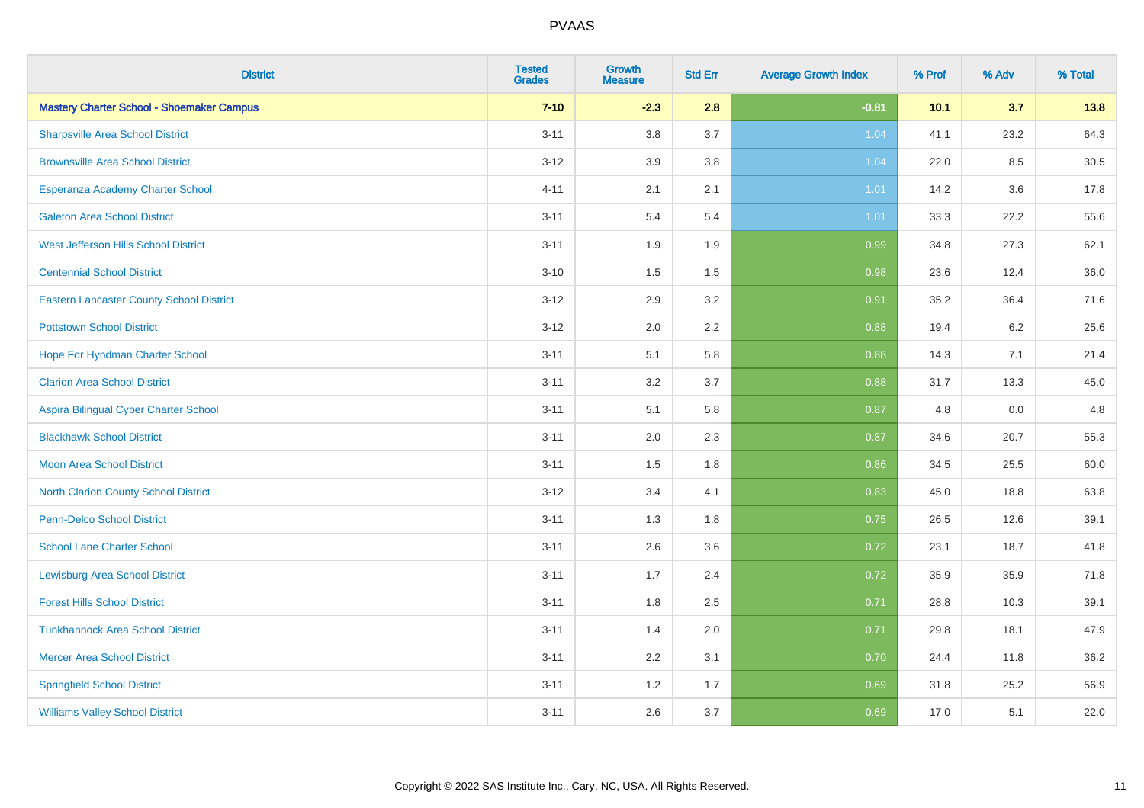| <b>District</b>                                  | <b>Tested</b><br><b>Grades</b> | <b>Growth</b><br><b>Measure</b> | <b>Std Err</b> | <b>Average Growth Index</b> | % Prof | % Adv | % Total |
|--------------------------------------------------|--------------------------------|---------------------------------|----------------|-----------------------------|--------|-------|---------|
| <b>Mastery Charter School - Shoemaker Campus</b> | $7 - 10$                       | $-2.3$                          | 2.8            | $-0.81$                     | 10.1   | 3.7   | 13.8    |
| <b>Sharpsville Area School District</b>          | $3 - 11$                       | 3.8                             | 3.7            | 1.04                        | 41.1   | 23.2  | 64.3    |
| <b>Brownsville Area School District</b>          | $3 - 12$                       | 3.9                             | 3.8            | 1.04                        | 22.0   | 8.5   | 30.5    |
| Esperanza Academy Charter School                 | $4 - 11$                       | 2.1                             | 2.1            | 1.01                        | 14.2   | 3.6   | 17.8    |
| <b>Galeton Area School District</b>              | $3 - 11$                       | 5.4                             | 5.4            | 1.01                        | 33.3   | 22.2  | 55.6    |
| <b>West Jefferson Hills School District</b>      | $3 - 11$                       | 1.9                             | 1.9            | 0.99                        | 34.8   | 27.3  | 62.1    |
| <b>Centennial School District</b>                | $3 - 10$                       | 1.5                             | 1.5            | 0.98                        | 23.6   | 12.4  | 36.0    |
| <b>Eastern Lancaster County School District</b>  | $3 - 12$                       | 2.9                             | 3.2            | 0.91                        | 35.2   | 36.4  | 71.6    |
| <b>Pottstown School District</b>                 | $3 - 12$                       | 2.0                             | 2.2            | 0.88                        | 19.4   | 6.2   | 25.6    |
| Hope For Hyndman Charter School                  | $3 - 11$                       | 5.1                             | 5.8            | 0.88                        | 14.3   | 7.1   | 21.4    |
| <b>Clarion Area School District</b>              | $3 - 11$                       | 3.2                             | 3.7            | 0.88                        | 31.7   | 13.3  | 45.0    |
| Aspira Bilingual Cyber Charter School            | $3 - 11$                       | 5.1                             | 5.8            | 0.87                        | 4.8    | 0.0   | 4.8     |
| <b>Blackhawk School District</b>                 | $3 - 11$                       | 2.0                             | 2.3            | 0.87                        | 34.6   | 20.7  | 55.3    |
| <b>Moon Area School District</b>                 | $3 - 11$                       | 1.5                             | 1.8            | 0.86                        | 34.5   | 25.5  | 60.0    |
| <b>North Clarion County School District</b>      | $3 - 12$                       | 3.4                             | 4.1            | 0.83                        | 45.0   | 18.8  | 63.8    |
| <b>Penn-Delco School District</b>                | $3 - 11$                       | 1.3                             | 1.8            | 0.75                        | 26.5   | 12.6  | 39.1    |
| <b>School Lane Charter School</b>                | $3 - 11$                       | 2.6                             | 3.6            | 0.72                        | 23.1   | 18.7  | 41.8    |
| <b>Lewisburg Area School District</b>            | $3 - 11$                       | 1.7                             | 2.4            | 0.72                        | 35.9   | 35.9  | 71.8    |
| <b>Forest Hills School District</b>              | $3 - 11$                       | 1.8                             | 2.5            | 0.71                        | 28.8   | 10.3  | 39.1    |
| <b>Tunkhannock Area School District</b>          | $3 - 11$                       | 1.4                             | 2.0            | 0.71                        | 29.8   | 18.1  | 47.9    |
| <b>Mercer Area School District</b>               | $3 - 11$                       | $2.2\,$                         | 3.1            | 0.70                        | 24.4   | 11.8  | 36.2    |
| <b>Springfield School District</b>               | $3 - 11$                       | 1.2                             | 1.7            | 0.69                        | 31.8   | 25.2  | 56.9    |
| <b>Williams Valley School District</b>           | $3 - 11$                       | 2.6                             | 3.7            | 0.69                        | 17.0   | 5.1   | 22.0    |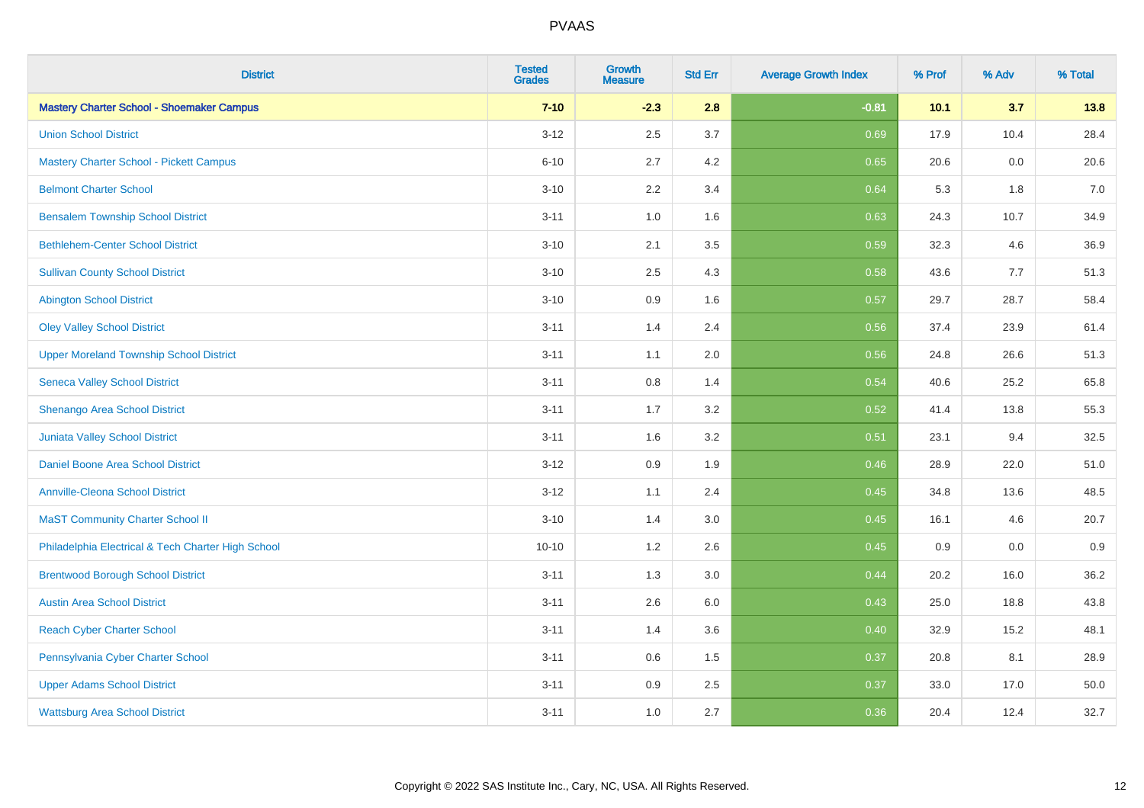| <b>District</b>                                    | <b>Tested</b><br><b>Grades</b> | <b>Growth</b><br><b>Measure</b> | <b>Std Err</b> | <b>Average Growth Index</b> | % Prof | % Adv | % Total |
|----------------------------------------------------|--------------------------------|---------------------------------|----------------|-----------------------------|--------|-------|---------|
| <b>Mastery Charter School - Shoemaker Campus</b>   | $7 - 10$                       | $-2.3$                          | 2.8            | $-0.81$                     | 10.1   | 3.7   | 13.8    |
| <b>Union School District</b>                       | $3 - 12$                       | 2.5                             | 3.7            | 0.69                        | 17.9   | 10.4  | 28.4    |
| <b>Mastery Charter School - Pickett Campus</b>     | $6 - 10$                       | 2.7                             | 4.2            | 0.65                        | 20.6   | 0.0   | 20.6    |
| <b>Belmont Charter School</b>                      | $3 - 10$                       | 2.2                             | 3.4            | 0.64                        | 5.3    | 1.8   | $7.0$   |
| <b>Bensalem Township School District</b>           | $3 - 11$                       | 1.0                             | 1.6            | 0.63                        | 24.3   | 10.7  | 34.9    |
| <b>Bethlehem-Center School District</b>            | $3 - 10$                       | 2.1                             | 3.5            | 0.59                        | 32.3   | 4.6   | 36.9    |
| <b>Sullivan County School District</b>             | $3 - 10$                       | 2.5                             | 4.3            | 0.58                        | 43.6   | 7.7   | 51.3    |
| <b>Abington School District</b>                    | $3 - 10$                       | 0.9                             | 1.6            | 0.57                        | 29.7   | 28.7  | 58.4    |
| <b>Oley Valley School District</b>                 | $3 - 11$                       | 1.4                             | 2.4            | 0.56                        | 37.4   | 23.9  | 61.4    |
| <b>Upper Moreland Township School District</b>     | $3 - 11$                       | 1.1                             | 2.0            | 0.56                        | 24.8   | 26.6  | 51.3    |
| <b>Seneca Valley School District</b>               | $3 - 11$                       | 0.8                             | 1.4            | 0.54                        | 40.6   | 25.2  | 65.8    |
| Shenango Area School District                      | $3 - 11$                       | 1.7                             | 3.2            | 0.52                        | 41.4   | 13.8  | 55.3    |
| Juniata Valley School District                     | $3 - 11$                       | 1.6                             | 3.2            | 0.51                        | 23.1   | 9.4   | 32.5    |
| Daniel Boone Area School District                  | $3 - 12$                       | 0.9                             | 1.9            | 0.46                        | 28.9   | 22.0  | 51.0    |
| <b>Annville-Cleona School District</b>             | $3 - 12$                       | 1.1                             | 2.4            | 0.45                        | 34.8   | 13.6  | 48.5    |
| <b>MaST Community Charter School II</b>            | $3 - 10$                       | 1.4                             | 3.0            | 0.45                        | 16.1   | 4.6   | 20.7    |
| Philadelphia Electrical & Tech Charter High School | $10 - 10$                      | 1.2                             | 2.6            | 0.45                        | 0.9    | 0.0   | 0.9     |
| <b>Brentwood Borough School District</b>           | $3 - 11$                       | 1.3                             | 3.0            | 0.44                        | 20.2   | 16.0  | 36.2    |
| <b>Austin Area School District</b>                 | $3 - 11$                       | 2.6                             | 6.0            | 0.43                        | 25.0   | 18.8  | 43.8    |
| <b>Reach Cyber Charter School</b>                  | $3 - 11$                       | 1.4                             | 3.6            | 0.40                        | 32.9   | 15.2  | 48.1    |
| Pennsylvania Cyber Charter School                  | $3 - 11$                       | 0.6                             | 1.5            | 0.37                        | 20.8   | 8.1   | 28.9    |
| <b>Upper Adams School District</b>                 | $3 - 11$                       | 0.9                             | 2.5            | 0.37                        | 33.0   | 17.0  | 50.0    |
| <b>Wattsburg Area School District</b>              | $3 - 11$                       | 1.0                             | 2.7            | 0.36                        | 20.4   | 12.4  | 32.7    |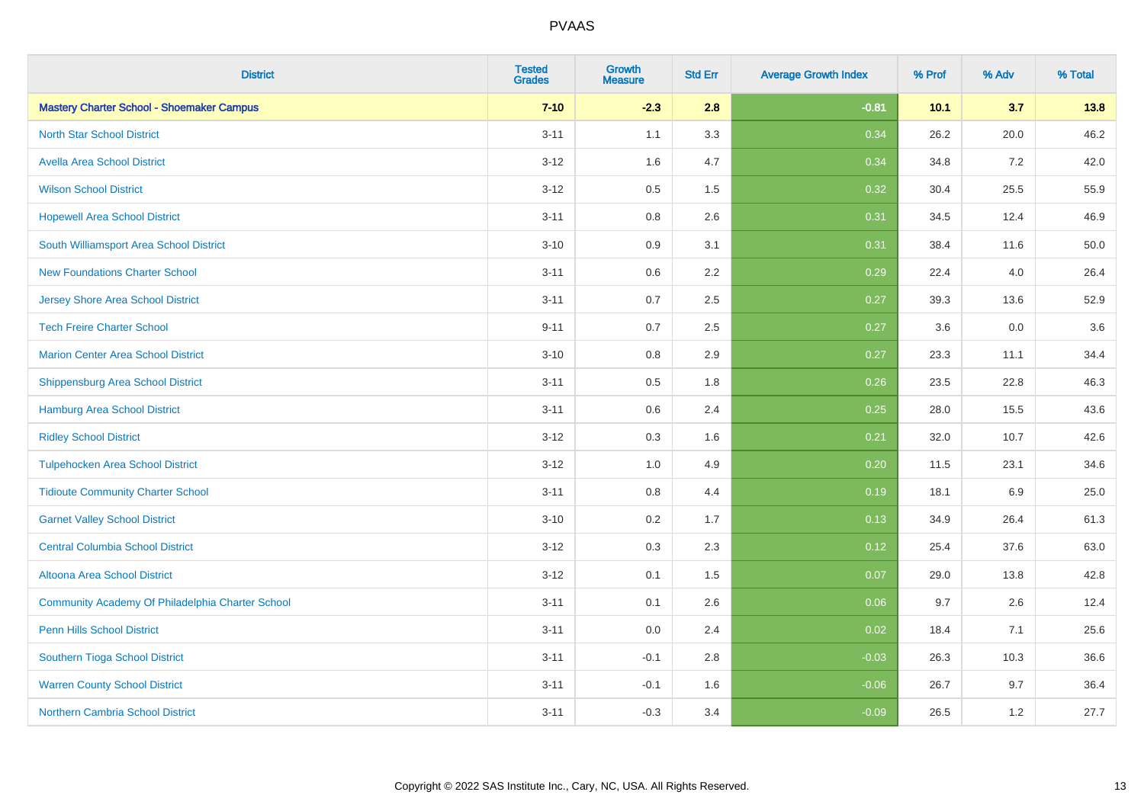| <b>District</b>                                  | <b>Tested</b><br><b>Grades</b> | <b>Growth</b><br><b>Measure</b> | <b>Std Err</b> | <b>Average Growth Index</b> | % Prof | % Adv | % Total |
|--------------------------------------------------|--------------------------------|---------------------------------|----------------|-----------------------------|--------|-------|---------|
| <b>Mastery Charter School - Shoemaker Campus</b> | $7 - 10$                       | $-2.3$                          | 2.8            | $-0.81$                     | 10.1   | 3.7   | 13.8    |
| <b>North Star School District</b>                | $3 - 11$                       | 1.1                             | 3.3            | 0.34                        | 26.2   | 20.0  | 46.2    |
| <b>Avella Area School District</b>               | $3 - 12$                       | 1.6                             | 4.7            | 0.34                        | 34.8   | 7.2   | 42.0    |
| <b>Wilson School District</b>                    | $3 - 12$                       | 0.5                             | 1.5            | 0.32                        | 30.4   | 25.5  | 55.9    |
| <b>Hopewell Area School District</b>             | $3 - 11$                       | 0.8                             | 2.6            | 0.31                        | 34.5   | 12.4  | 46.9    |
| South Williamsport Area School District          | $3 - 10$                       | 0.9                             | 3.1            | 0.31                        | 38.4   | 11.6  | 50.0    |
| <b>New Foundations Charter School</b>            | $3 - 11$                       | 0.6                             | 2.2            | 0.29                        | 22.4   | 4.0   | 26.4    |
| <b>Jersey Shore Area School District</b>         | $3 - 11$                       | 0.7                             | 2.5            | 0.27                        | 39.3   | 13.6  | 52.9    |
| <b>Tech Freire Charter School</b>                | $9 - 11$                       | 0.7                             | 2.5            | 0.27                        | 3.6    | 0.0   | 3.6     |
| <b>Marion Center Area School District</b>        | $3 - 10$                       | 0.8                             | 2.9            | 0.27                        | 23.3   | 11.1  | 34.4    |
| <b>Shippensburg Area School District</b>         | $3 - 11$                       | 0.5                             | 1.8            | 0.26                        | 23.5   | 22.8  | 46.3    |
| <b>Hamburg Area School District</b>              | $3 - 11$                       | 0.6                             | 2.4            | 0.25                        | 28.0   | 15.5  | 43.6    |
| <b>Ridley School District</b>                    | $3 - 12$                       | 0.3                             | 1.6            | 0.21                        | 32.0   | 10.7  | 42.6    |
| <b>Tulpehocken Area School District</b>          | $3 - 12$                       | 1.0                             | 4.9            | 0.20                        | 11.5   | 23.1  | 34.6    |
| <b>Tidioute Community Charter School</b>         | $3 - 11$                       | 0.8                             | 4.4            | 0.19                        | 18.1   | 6.9   | 25.0    |
| <b>Garnet Valley School District</b>             | $3 - 10$                       | 0.2                             | 1.7            | 0.13                        | 34.9   | 26.4  | 61.3    |
| <b>Central Columbia School District</b>          | $3 - 12$                       | 0.3                             | 2.3            | 0.12                        | 25.4   | 37.6  | 63.0    |
| Altoona Area School District                     | $3 - 12$                       | 0.1                             | 1.5            | 0.07                        | 29.0   | 13.8  | 42.8    |
| Community Academy Of Philadelphia Charter School | $3 - 11$                       | 0.1                             | 2.6            | 0.06                        | 9.7    | 2.6   | 12.4    |
| <b>Penn Hills School District</b>                | $3 - 11$                       | 0.0                             | 2.4            | 0.02                        | 18.4   | 7.1   | 25.6    |
| Southern Tioga School District                   | $3 - 11$                       | $-0.1$                          | 2.8            | $-0.03$                     | 26.3   | 10.3  | 36.6    |
| <b>Warren County School District</b>             | $3 - 11$                       | $-0.1$                          | 1.6            | $-0.06$                     | 26.7   | 9.7   | 36.4    |
| Northern Cambria School District                 | $3 - 11$                       | $-0.3$                          | 3.4            | $-0.09$                     | 26.5   | 1.2   | 27.7    |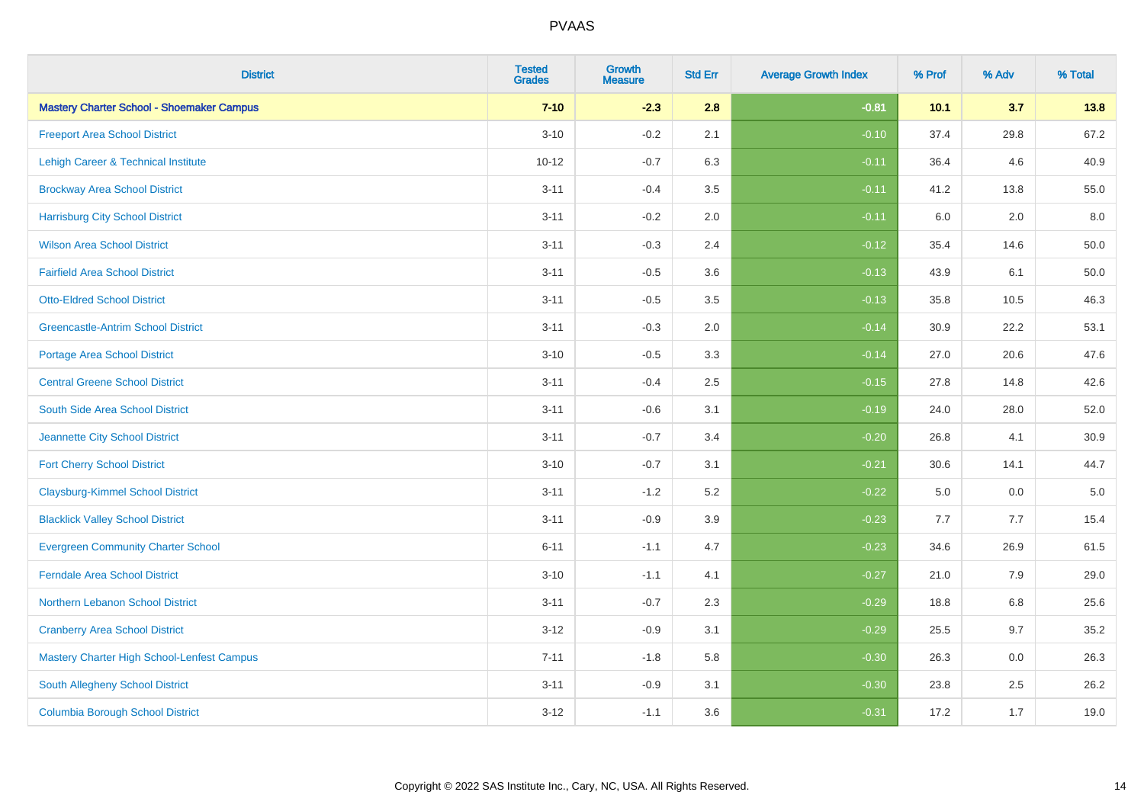| <b>District</b>                                  | <b>Tested</b><br><b>Grades</b> | <b>Growth</b><br><b>Measure</b> | <b>Std Err</b> | <b>Average Growth Index</b> | % Prof | % Adv | % Total  |
|--------------------------------------------------|--------------------------------|---------------------------------|----------------|-----------------------------|--------|-------|----------|
| <b>Mastery Charter School - Shoemaker Campus</b> | $7 - 10$                       | $-2.3$                          | 2.8            | $-0.81$                     | 10.1   | 3.7   | 13.8     |
| <b>Freeport Area School District</b>             | $3 - 10$                       | $-0.2$                          | 2.1            | $-0.10$                     | 37.4   | 29.8  | 67.2     |
| Lehigh Career & Technical Institute              | $10 - 12$                      | $-0.7$                          | 6.3            | $-0.11$                     | 36.4   | 4.6   | 40.9     |
| <b>Brockway Area School District</b>             | $3 - 11$                       | $-0.4$                          | 3.5            | $-0.11$                     | 41.2   | 13.8  | 55.0     |
| <b>Harrisburg City School District</b>           | $3 - 11$                       | $-0.2$                          | 2.0            | $-0.11$                     | 6.0    | 2.0   | 8.0      |
| <b>Wilson Area School District</b>               | $3 - 11$                       | $-0.3$                          | 2.4            | $-0.12$                     | 35.4   | 14.6  | 50.0     |
| <b>Fairfield Area School District</b>            | $3 - 11$                       | $-0.5$                          | 3.6            | $-0.13$                     | 43.9   | 6.1   | $50.0\,$ |
| <b>Otto-Eldred School District</b>               | $3 - 11$                       | $-0.5$                          | 3.5            | $-0.13$                     | 35.8   | 10.5  | 46.3     |
| <b>Greencastle-Antrim School District</b>        | $3 - 11$                       | $-0.3$                          | 2.0            | $-0.14$                     | 30.9   | 22.2  | 53.1     |
| <b>Portage Area School District</b>              | $3 - 10$                       | $-0.5$                          | 3.3            | $-0.14$                     | 27.0   | 20.6  | 47.6     |
| <b>Central Greene School District</b>            | $3 - 11$                       | $-0.4$                          | 2.5            | $-0.15$                     | 27.8   | 14.8  | 42.6     |
| South Side Area School District                  | $3 - 11$                       | $-0.6$                          | 3.1            | $-0.19$                     | 24.0   | 28.0  | 52.0     |
| Jeannette City School District                   | $3 - 11$                       | $-0.7$                          | 3.4            | $-0.20$                     | 26.8   | 4.1   | 30.9     |
| <b>Fort Cherry School District</b>               | $3 - 10$                       | $-0.7$                          | 3.1            | $-0.21$                     | 30.6   | 14.1  | 44.7     |
| <b>Claysburg-Kimmel School District</b>          | $3 - 11$                       | $-1.2$                          | 5.2            | $-0.22$                     | 5.0    | 0.0   | $5.0\,$  |
| <b>Blacklick Valley School District</b>          | $3 - 11$                       | $-0.9$                          | 3.9            | $-0.23$                     | 7.7    | 7.7   | 15.4     |
| <b>Evergreen Community Charter School</b>        | $6 - 11$                       | $-1.1$                          | 4.7            | $-0.23$                     | 34.6   | 26.9  | 61.5     |
| <b>Ferndale Area School District</b>             | $3 - 10$                       | $-1.1$                          | 4.1            | $-0.27$                     | 21.0   | 7.9   | 29.0     |
| Northern Lebanon School District                 | $3 - 11$                       | $-0.7$                          | 2.3            | $-0.29$                     | 18.8   | 6.8   | 25.6     |
| <b>Cranberry Area School District</b>            | $3 - 12$                       | $-0.9$                          | 3.1            | $-0.29$                     | 25.5   | 9.7   | 35.2     |
| Mastery Charter High School-Lenfest Campus       | $7 - 11$                       | $-1.8$                          | 5.8            | $-0.30$                     | 26.3   | 0.0   | 26.3     |
| South Allegheny School District                  | $3 - 11$                       | $-0.9$                          | 3.1            | $-0.30$                     | 23.8   | 2.5   | 26.2     |
| <b>Columbia Borough School District</b>          | $3 - 12$                       | $-1.1$                          | 3.6            | $-0.31$                     | 17.2   | 1.7   | 19.0     |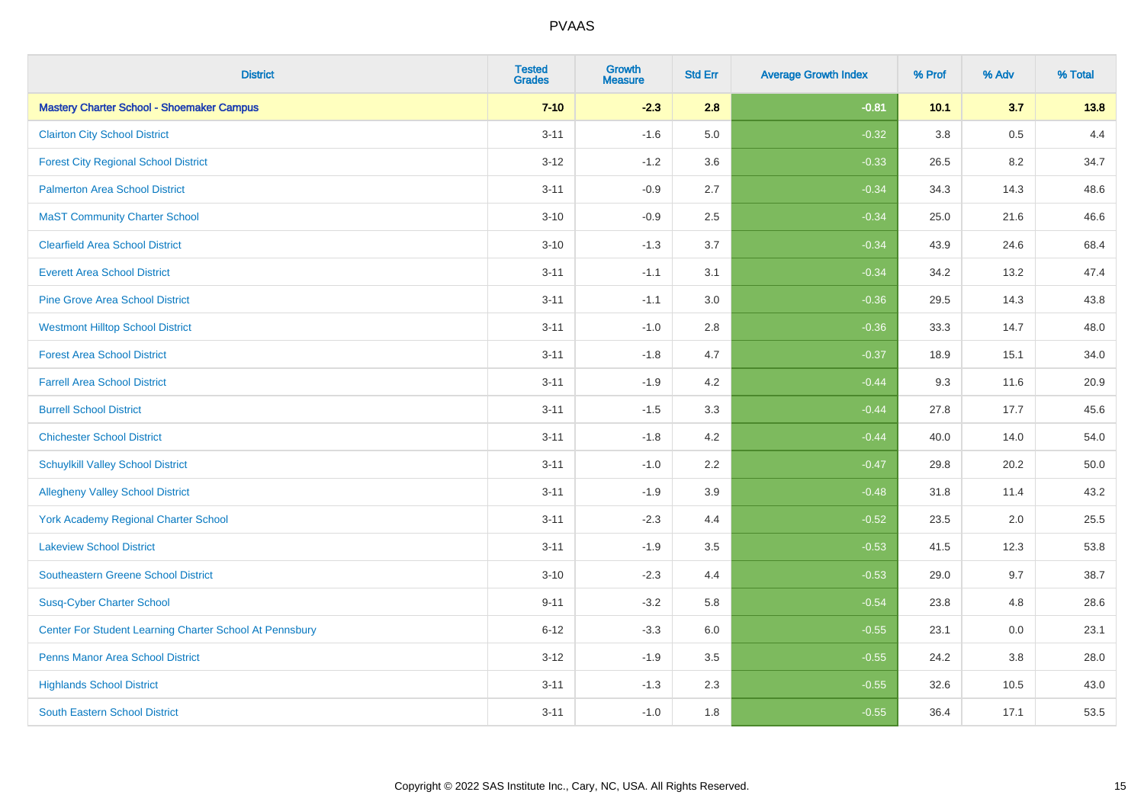| <b>District</b>                                         | <b>Tested</b><br><b>Grades</b> | <b>Growth</b><br><b>Measure</b> | <b>Std Err</b> | <b>Average Growth Index</b> | % Prof | % Adv | % Total |
|---------------------------------------------------------|--------------------------------|---------------------------------|----------------|-----------------------------|--------|-------|---------|
| <b>Mastery Charter School - Shoemaker Campus</b>        | $7 - 10$                       | $-2.3$                          | 2.8            | $-0.81$                     | 10.1   | 3.7   | 13.8    |
| <b>Clairton City School District</b>                    | $3 - 11$                       | $-1.6$                          | 5.0            | $-0.32$                     | 3.8    | 0.5   | 4.4     |
| <b>Forest City Regional School District</b>             | $3 - 12$                       | $-1.2$                          | 3.6            | $-0.33$                     | 26.5   | 8.2   | 34.7    |
| <b>Palmerton Area School District</b>                   | $3 - 11$                       | $-0.9$                          | 2.7            | $-0.34$                     | 34.3   | 14.3  | 48.6    |
| <b>MaST Community Charter School</b>                    | $3 - 10$                       | $-0.9$                          | 2.5            | $-0.34$                     | 25.0   | 21.6  | 46.6    |
| <b>Clearfield Area School District</b>                  | $3 - 10$                       | $-1.3$                          | 3.7            | $-0.34$                     | 43.9   | 24.6  | 68.4    |
| <b>Everett Area School District</b>                     | $3 - 11$                       | $-1.1$                          | 3.1            | $-0.34$                     | 34.2   | 13.2  | 47.4    |
| <b>Pine Grove Area School District</b>                  | $3 - 11$                       | $-1.1$                          | 3.0            | $-0.36$                     | 29.5   | 14.3  | 43.8    |
| <b>Westmont Hilltop School District</b>                 | $3 - 11$                       | $-1.0$                          | 2.8            | $-0.36$                     | 33.3   | 14.7  | 48.0    |
| <b>Forest Area School District</b>                      | $3 - 11$                       | $-1.8$                          | 4.7            | $-0.37$                     | 18.9   | 15.1  | 34.0    |
| <b>Farrell Area School District</b>                     | $3 - 11$                       | $-1.9$                          | 4.2            | $-0.44$                     | 9.3    | 11.6  | 20.9    |
| <b>Burrell School District</b>                          | $3 - 11$                       | $-1.5$                          | 3.3            | $-0.44$                     | 27.8   | 17.7  | 45.6    |
| <b>Chichester School District</b>                       | $3 - 11$                       | $-1.8$                          | 4.2            | $-0.44$                     | 40.0   | 14.0  | 54.0    |
| <b>Schuylkill Valley School District</b>                | $3 - 11$                       | $-1.0$                          | 2.2            | $-0.47$                     | 29.8   | 20.2  | 50.0    |
| <b>Allegheny Valley School District</b>                 | $3 - 11$                       | $-1.9$                          | 3.9            | $-0.48$                     | 31.8   | 11.4  | 43.2    |
| <b>York Academy Regional Charter School</b>             | $3 - 11$                       | $-2.3$                          | 4.4            | $-0.52$                     | 23.5   | 2.0   | 25.5    |
| <b>Lakeview School District</b>                         | $3 - 11$                       | $-1.9$                          | 3.5            | $-0.53$                     | 41.5   | 12.3  | 53.8    |
| <b>Southeastern Greene School District</b>              | $3 - 10$                       | $-2.3$                          | 4.4            | $-0.53$                     | 29.0   | 9.7   | 38.7    |
| <b>Susq-Cyber Charter School</b>                        | $9 - 11$                       | $-3.2$                          | 5.8            | $-0.54$                     | 23.8   | 4.8   | 28.6    |
| Center For Student Learning Charter School At Pennsbury | $6 - 12$                       | $-3.3$                          | 6.0            | $-0.55$                     | 23.1   | 0.0   | 23.1    |
| <b>Penns Manor Area School District</b>                 | $3 - 12$                       | $-1.9$                          | 3.5            | $-0.55$                     | 24.2   | 3.8   | 28.0    |
| <b>Highlands School District</b>                        | $3 - 11$                       | $-1.3$                          | 2.3            | $-0.55$                     | 32.6   | 10.5  | 43.0    |
| <b>South Eastern School District</b>                    | $3 - 11$                       | $-1.0$                          | 1.8            | $-0.55$                     | 36.4   | 17.1  | 53.5    |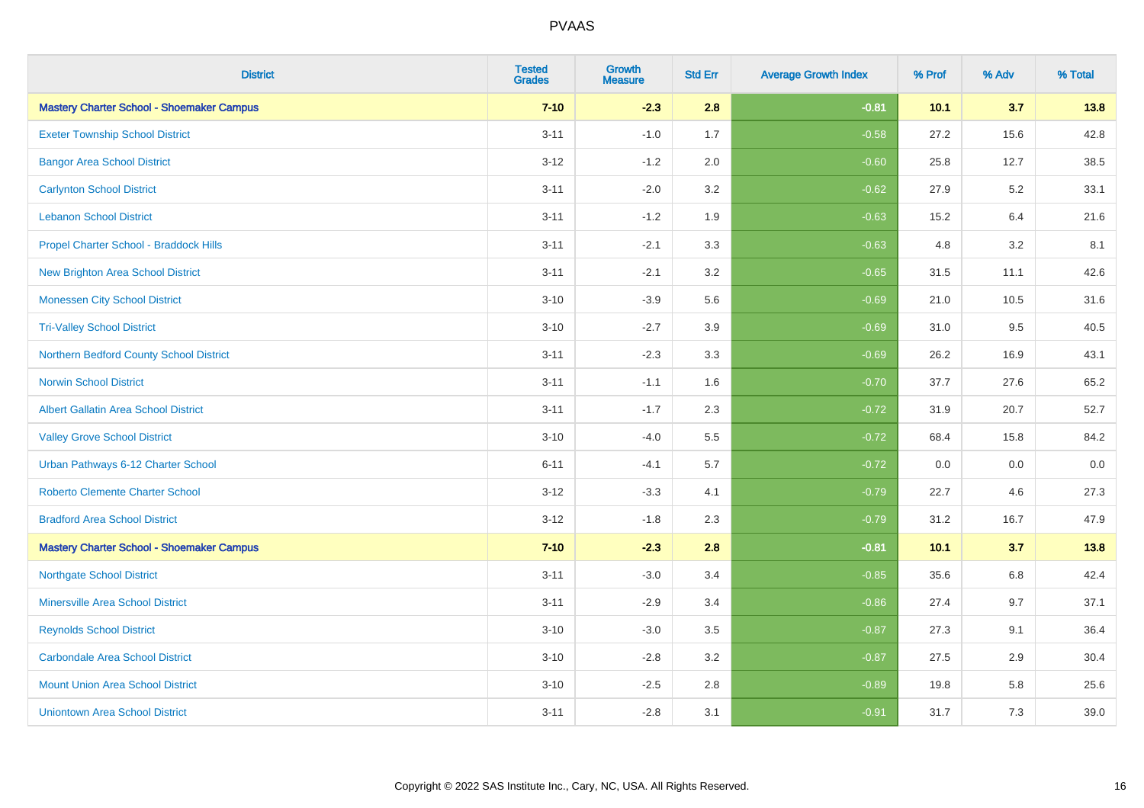| <b>District</b>                                  | <b>Tested</b><br><b>Grades</b> | <b>Growth</b><br><b>Measure</b> | <b>Std Err</b> | <b>Average Growth Index</b> | % Prof | % Adv | % Total |
|--------------------------------------------------|--------------------------------|---------------------------------|----------------|-----------------------------|--------|-------|---------|
| <b>Mastery Charter School - Shoemaker Campus</b> | $7 - 10$                       | $-2.3$                          | 2.8            | $-0.81$                     | 10.1   | 3.7   | 13.8    |
| <b>Exeter Township School District</b>           | $3 - 11$                       | $-1.0$                          | 1.7            | $-0.58$                     | 27.2   | 15.6  | 42.8    |
| <b>Bangor Area School District</b>               | $3 - 12$                       | $-1.2$                          | 2.0            | $-0.60$                     | 25.8   | 12.7  | 38.5    |
| <b>Carlynton School District</b>                 | $3 - 11$                       | $-2.0$                          | 3.2            | $-0.62$                     | 27.9   | 5.2   | 33.1    |
| <b>Lebanon School District</b>                   | $3 - 11$                       | $-1.2$                          | 1.9            | $-0.63$                     | 15.2   | 6.4   | 21.6    |
| Propel Charter School - Braddock Hills           | $3 - 11$                       | $-2.1$                          | 3.3            | $-0.63$                     | 4.8    | 3.2   | 8.1     |
| <b>New Brighton Area School District</b>         | $3 - 11$                       | $-2.1$                          | 3.2            | $-0.65$                     | 31.5   | 11.1  | 42.6    |
| <b>Monessen City School District</b>             | $3 - 10$                       | $-3.9$                          | 5.6            | $-0.69$                     | 21.0   | 10.5  | 31.6    |
| <b>Tri-Valley School District</b>                | $3 - 10$                       | $-2.7$                          | 3.9            | $-0.69$                     | 31.0   | 9.5   | 40.5    |
| Northern Bedford County School District          | $3 - 11$                       | $-2.3$                          | 3.3            | $-0.69$                     | 26.2   | 16.9  | 43.1    |
| <b>Norwin School District</b>                    | $3 - 11$                       | $-1.1$                          | 1.6            | $-0.70$                     | 37.7   | 27.6  | 65.2    |
| <b>Albert Gallatin Area School District</b>      | $3 - 11$                       | $-1.7$                          | 2.3            | $-0.72$                     | 31.9   | 20.7  | 52.7    |
| <b>Valley Grove School District</b>              | $3 - 10$                       | $-4.0$                          | 5.5            | $-0.72$                     | 68.4   | 15.8  | 84.2    |
| Urban Pathways 6-12 Charter School               | $6 - 11$                       | $-4.1$                          | 5.7            | $-0.72$                     | 0.0    | 0.0   | $0.0\,$ |
| <b>Roberto Clemente Charter School</b>           | $3 - 12$                       | $-3.3$                          | 4.1            | $-0.79$                     | 22.7   | 4.6   | 27.3    |
| <b>Bradford Area School District</b>             | $3 - 12$                       | $-1.8$                          | 2.3            | $-0.79$                     | 31.2   | 16.7  | 47.9    |
| <b>Mastery Charter School - Shoemaker Campus</b> | $7 - 10$                       | $-2.3$                          | 2.8            | $-0.81$                     | 10.1   | 3.7   | 13.8    |
| <b>Northgate School District</b>                 | $3 - 11$                       | $-3.0$                          | 3.4            | $-0.85$                     | 35.6   | 6.8   | 42.4    |
| <b>Minersville Area School District</b>          | $3 - 11$                       | $-2.9$                          | 3.4            | $-0.86$                     | 27.4   | 9.7   | 37.1    |
| <b>Reynolds School District</b>                  | $3 - 10$                       | $-3.0$                          | 3.5            | $-0.87$                     | 27.3   | 9.1   | 36.4    |
| <b>Carbondale Area School District</b>           | $3 - 10$                       | $-2.8$                          | 3.2            | $-0.87$                     | 27.5   | 2.9   | 30.4    |
| <b>Mount Union Area School District</b>          | $3 - 10$                       | $-2.5$                          | 2.8            | $-0.89$                     | 19.8   | 5.8   | 25.6    |
| <b>Uniontown Area School District</b>            | $3 - 11$                       | $-2.8$                          | 3.1            | $-0.91$                     | 31.7   | 7.3   | 39.0    |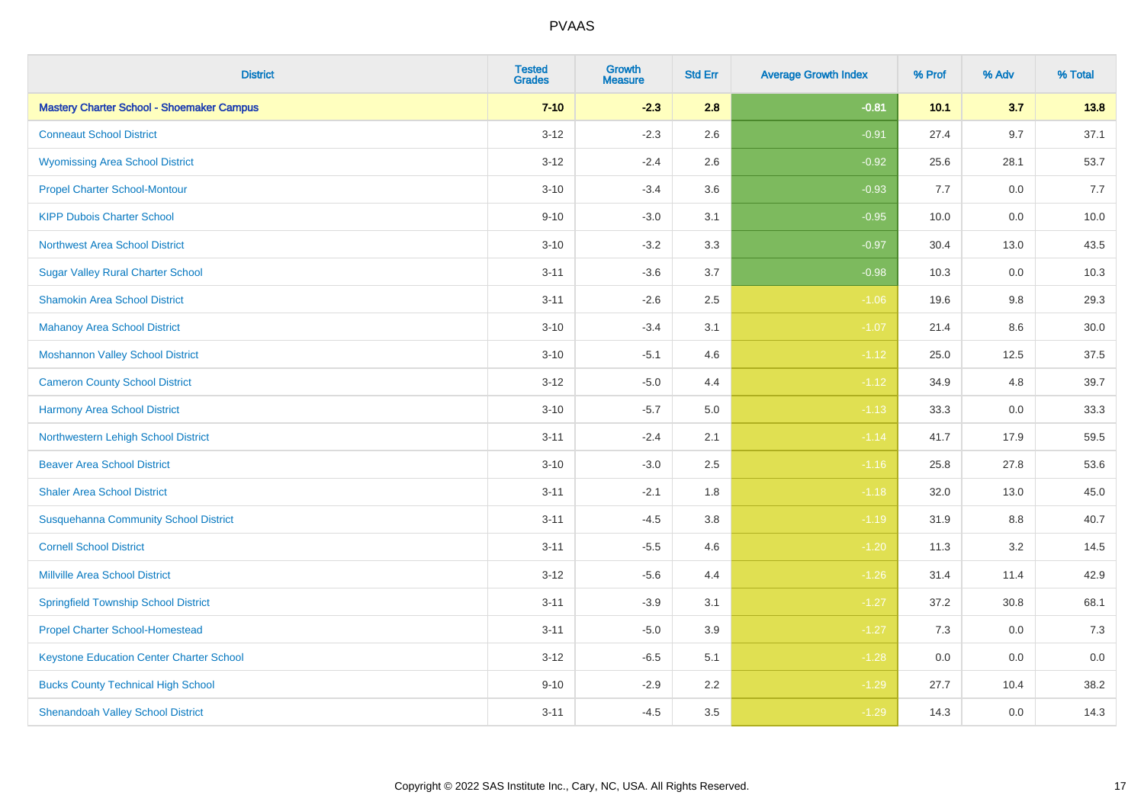| <b>District</b>                                  | <b>Tested</b><br><b>Grades</b> | <b>Growth</b><br><b>Measure</b> | <b>Std Err</b> | <b>Average Growth Index</b> | % Prof | % Adv | % Total |
|--------------------------------------------------|--------------------------------|---------------------------------|----------------|-----------------------------|--------|-------|---------|
| <b>Mastery Charter School - Shoemaker Campus</b> | $7 - 10$                       | $-2.3$                          | 2.8            | $-0.81$                     | 10.1   | 3.7   | 13.8    |
| <b>Conneaut School District</b>                  | $3 - 12$                       | $-2.3$                          | 2.6            | $-0.91$                     | 27.4   | 9.7   | 37.1    |
| <b>Wyomissing Area School District</b>           | $3 - 12$                       | $-2.4$                          | 2.6            | $-0.92$                     | 25.6   | 28.1  | 53.7    |
| <b>Propel Charter School-Montour</b>             | $3 - 10$                       | $-3.4$                          | 3.6            | $-0.93$                     | 7.7    | 0.0   | 7.7     |
| <b>KIPP Dubois Charter School</b>                | $9 - 10$                       | $-3.0$                          | 3.1            | $-0.95$                     | 10.0   | 0.0   | 10.0    |
| <b>Northwest Area School District</b>            | $3 - 10$                       | $-3.2$                          | 3.3            | $-0.97$                     | 30.4   | 13.0  | 43.5    |
| <b>Sugar Valley Rural Charter School</b>         | $3 - 11$                       | $-3.6$                          | 3.7            | $-0.98$                     | 10.3   | 0.0   | 10.3    |
| <b>Shamokin Area School District</b>             | $3 - 11$                       | $-2.6$                          | 2.5            | $-1.06$                     | 19.6   | 9.8   | 29.3    |
| <b>Mahanoy Area School District</b>              | $3 - 10$                       | $-3.4$                          | 3.1            | $-1.07$                     | 21.4   | 8.6   | 30.0    |
| <b>Moshannon Valley School District</b>          | $3 - 10$                       | $-5.1$                          | 4.6            | $-1.12$                     | 25.0   | 12.5  | 37.5    |
| <b>Cameron County School District</b>            | $3 - 12$                       | $-5.0$                          | 4.4            | $-1.12$                     | 34.9   | 4.8   | 39.7    |
| <b>Harmony Area School District</b>              | $3 - 10$                       | $-5.7$                          | 5.0            | $-1.13$                     | 33.3   | 0.0   | 33.3    |
| Northwestern Lehigh School District              | $3 - 11$                       | $-2.4$                          | 2.1            | $-1.14$                     | 41.7   | 17.9  | 59.5    |
| <b>Beaver Area School District</b>               | $3 - 10$                       | $-3.0$                          | 2.5            | $-1.16$                     | 25.8   | 27.8  | 53.6    |
| <b>Shaler Area School District</b>               | $3 - 11$                       | $-2.1$                          | 1.8            | $-1.18$                     | 32.0   | 13.0  | 45.0    |
| <b>Susquehanna Community School District</b>     | $3 - 11$                       | $-4.5$                          | 3.8            | $-1.19$                     | 31.9   | 8.8   | 40.7    |
| <b>Cornell School District</b>                   | $3 - 11$                       | $-5.5$                          | 4.6            | $-1.20$                     | 11.3   | 3.2   | 14.5    |
| <b>Millville Area School District</b>            | $3 - 12$                       | $-5.6$                          | 4.4            | $-1.26$                     | 31.4   | 11.4  | 42.9    |
| <b>Springfield Township School District</b>      | $3 - 11$                       | $-3.9$                          | 3.1            | $-1.27$                     | 37.2   | 30.8  | 68.1    |
| <b>Propel Charter School-Homestead</b>           | $3 - 11$                       | $-5.0$                          | 3.9            | $-1.27$                     | 7.3    | 0.0   | 7.3     |
| <b>Keystone Education Center Charter School</b>  | $3 - 12$                       | $-6.5$                          | 5.1            | $-1.28$                     | 0.0    | 0.0   | 0.0     |
| <b>Bucks County Technical High School</b>        | $9 - 10$                       | $-2.9$                          | 2.2            | $-1.29$                     | 27.7   | 10.4  | 38.2    |
| <b>Shenandoah Valley School District</b>         | $3 - 11$                       | $-4.5$                          | 3.5            | $-1.29$                     | 14.3   | 0.0   | 14.3    |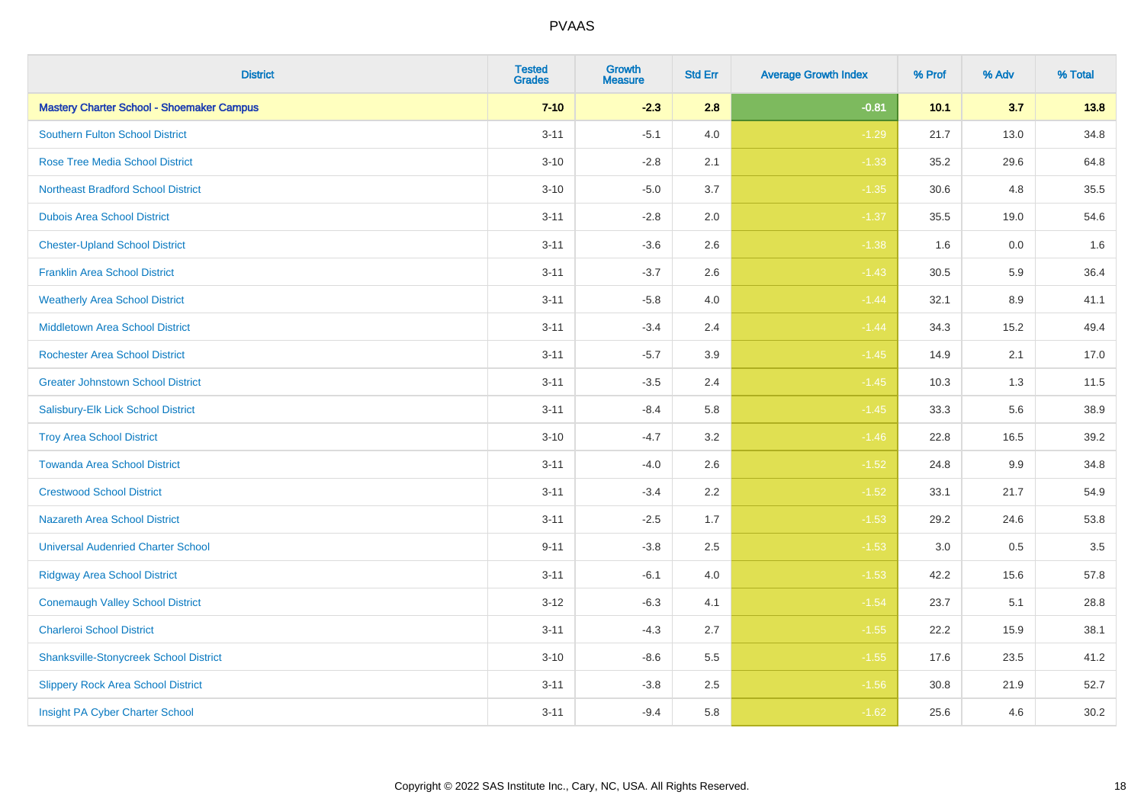| <b>District</b>                                  | <b>Tested</b><br><b>Grades</b> | <b>Growth</b><br><b>Measure</b> | <b>Std Err</b> | <b>Average Growth Index</b> | % Prof | % Adv   | % Total |
|--------------------------------------------------|--------------------------------|---------------------------------|----------------|-----------------------------|--------|---------|---------|
| <b>Mastery Charter School - Shoemaker Campus</b> | $7 - 10$                       | $-2.3$                          | 2.8            | $-0.81$                     | 10.1   | 3.7     | 13.8    |
| <b>Southern Fulton School District</b>           | $3 - 11$                       | $-5.1$                          | $4.0$          | $-1.29$                     | 21.7   | 13.0    | 34.8    |
| <b>Rose Tree Media School District</b>           | $3 - 10$                       | $-2.8$                          | 2.1            | $-1.33$                     | 35.2   | 29.6    | 64.8    |
| <b>Northeast Bradford School District</b>        | $3 - 10$                       | $-5.0$                          | 3.7            | $-1.35$                     | 30.6   | 4.8     | 35.5    |
| <b>Dubois Area School District</b>               | $3 - 11$                       | $-2.8$                          | 2.0            | $-1.37$                     | 35.5   | 19.0    | 54.6    |
| <b>Chester-Upland School District</b>            | $3 - 11$                       | $-3.6$                          | 2.6            | $-1.38$                     | 1.6    | 0.0     | 1.6     |
| <b>Franklin Area School District</b>             | $3 - 11$                       | $-3.7$                          | 2.6            | $-1.43$                     | 30.5   | 5.9     | 36.4    |
| <b>Weatherly Area School District</b>            | $3 - 11$                       | $-5.8$                          | 4.0            | $-1.44$                     | 32.1   | 8.9     | 41.1    |
| <b>Middletown Area School District</b>           | $3 - 11$                       | $-3.4$                          | 2.4            | $-1.44$                     | 34.3   | 15.2    | 49.4    |
| <b>Rochester Area School District</b>            | $3 - 11$                       | $-5.7$                          | 3.9            | $-1.45$                     | 14.9   | 2.1     | 17.0    |
| <b>Greater Johnstown School District</b>         | $3 - 11$                       | $-3.5$                          | 2.4            | $-1.45$                     | 10.3   | 1.3     | 11.5    |
| Salisbury-Elk Lick School District               | $3 - 11$                       | $-8.4$                          | 5.8            | $-1.45$                     | 33.3   | 5.6     | 38.9    |
| <b>Troy Area School District</b>                 | $3 - 10$                       | $-4.7$                          | 3.2            | $-1.46$                     | 22.8   | 16.5    | 39.2    |
| <b>Towanda Area School District</b>              | $3 - 11$                       | $-4.0$                          | 2.6            | $-1.52$                     | 24.8   | 9.9     | 34.8    |
| <b>Crestwood School District</b>                 | $3 - 11$                       | $-3.4$                          | 2.2            | $-1.52$                     | 33.1   | 21.7    | 54.9    |
| <b>Nazareth Area School District</b>             | $3 - 11$                       | $-2.5$                          | 1.7            | $-1.53$                     | 29.2   | 24.6    | 53.8    |
| <b>Universal Audenried Charter School</b>        | $9 - 11$                       | $-3.8$                          | 2.5            | $-1.53$                     | 3.0    | $0.5\,$ | 3.5     |
| <b>Ridgway Area School District</b>              | $3 - 11$                       | $-6.1$                          | 4.0            | $-1.53$                     | 42.2   | 15.6    | 57.8    |
| <b>Conemaugh Valley School District</b>          | $3-12$                         | $-6.3$                          | 4.1            | $-1.54$                     | 23.7   | 5.1     | 28.8    |
| <b>Charleroi School District</b>                 | $3 - 11$                       | $-4.3$                          | 2.7            | $-1.55$                     | 22.2   | 15.9    | 38.1    |
| <b>Shanksville-Stonycreek School District</b>    | $3 - 10$                       | $-8.6$                          | 5.5            | $-1.55$                     | 17.6   | 23.5    | 41.2    |
| <b>Slippery Rock Area School District</b>        | $3 - 11$                       | $-3.8$                          | 2.5            | $-1.56$                     | 30.8   | 21.9    | 52.7    |
| Insight PA Cyber Charter School                  | $3 - 11$                       | $-9.4$                          | 5.8            | $-1.62$                     | 25.6   | 4.6     | 30.2    |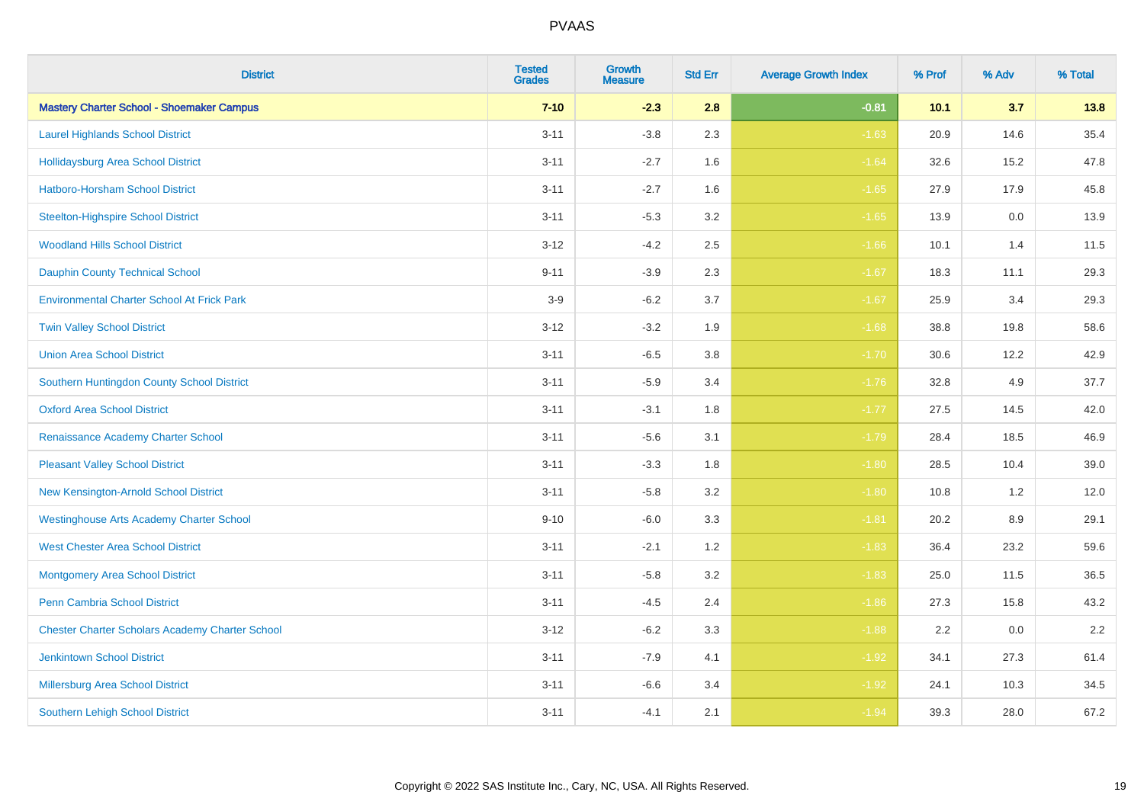| <b>District</b>                                        | <b>Tested</b><br><b>Grades</b> | <b>Growth</b><br><b>Measure</b> | <b>Std Err</b> | <b>Average Growth Index</b> | % Prof | % Adv   | % Total |
|--------------------------------------------------------|--------------------------------|---------------------------------|----------------|-----------------------------|--------|---------|---------|
| <b>Mastery Charter School - Shoemaker Campus</b>       | $7 - 10$                       | $-2.3$                          | 2.8            | $-0.81$                     | 10.1   | 3.7     | 13.8    |
| <b>Laurel Highlands School District</b>                | $3 - 11$                       | $-3.8$                          | 2.3            | $-1.63$                     | 20.9   | 14.6    | 35.4    |
| <b>Hollidaysburg Area School District</b>              | $3 - 11$                       | $-2.7$                          | 1.6            | $-1.64$                     | 32.6   | 15.2    | 47.8    |
| <b>Hatboro-Horsham School District</b>                 | $3 - 11$                       | $-2.7$                          | 1.6            | $-1.65$                     | 27.9   | 17.9    | 45.8    |
| <b>Steelton-Highspire School District</b>              | $3 - 11$                       | $-5.3$                          | 3.2            | $-1.65$                     | 13.9   | 0.0     | 13.9    |
| <b>Woodland Hills School District</b>                  | $3 - 12$                       | $-4.2$                          | 2.5            | $-1.66$                     | 10.1   | 1.4     | 11.5    |
| <b>Dauphin County Technical School</b>                 | $9 - 11$                       | $-3.9$                          | 2.3            | $-1.67$                     | 18.3   | 11.1    | 29.3    |
| <b>Environmental Charter School At Frick Park</b>      | $3-9$                          | $-6.2$                          | 3.7            | $-1.67$                     | 25.9   | 3.4     | 29.3    |
| <b>Twin Valley School District</b>                     | $3 - 12$                       | $-3.2$                          | 1.9            | $-1.68$                     | 38.8   | 19.8    | 58.6    |
| <b>Union Area School District</b>                      | $3 - 11$                       | $-6.5$                          | 3.8            | $-1.70$                     | 30.6   | 12.2    | 42.9    |
| Southern Huntingdon County School District             | $3 - 11$                       | $-5.9$                          | 3.4            | $-1.76$                     | 32.8   | 4.9     | 37.7    |
| <b>Oxford Area School District</b>                     | $3 - 11$                       | $-3.1$                          | 1.8            | $-1.77$                     | 27.5   | 14.5    | 42.0    |
| Renaissance Academy Charter School                     | $3 - 11$                       | $-5.6$                          | 3.1            | $-1.79$                     | 28.4   | 18.5    | 46.9    |
| <b>Pleasant Valley School District</b>                 | $3 - 11$                       | $-3.3$                          | 1.8            | $-1.80$                     | 28.5   | 10.4    | 39.0    |
| New Kensington-Arnold School District                  | $3 - 11$                       | $-5.8$                          | 3.2            | $-1.80$                     | 10.8   | 1.2     | 12.0    |
| <b>Westinghouse Arts Academy Charter School</b>        | $9 - 10$                       | $-6.0$                          | 3.3            | $-1.81$                     | 20.2   | $8.9\,$ | 29.1    |
| <b>West Chester Area School District</b>               | $3 - 11$                       | $-2.1$                          | 1.2            | $-1.83$                     | 36.4   | 23.2    | 59.6    |
| <b>Montgomery Area School District</b>                 | $3 - 11$                       | $-5.8$                          | 3.2            | $-1.83$                     | 25.0   | 11.5    | 36.5    |
| <b>Penn Cambria School District</b>                    | $3 - 11$                       | $-4.5$                          | 2.4            | $-1.86$                     | 27.3   | 15.8    | 43.2    |
| <b>Chester Charter Scholars Academy Charter School</b> | $3 - 12$                       | $-6.2$                          | 3.3            | $-1.88$                     | 2.2    | 0.0     | 2.2     |
| <b>Jenkintown School District</b>                      | $3 - 11$                       | $-7.9$                          | 4.1            | $-1.92$                     | 34.1   | 27.3    | 61.4    |
| Millersburg Area School District                       | $3 - 11$                       | $-6.6$                          | 3.4            | $-1.92$                     | 24.1   | 10.3    | 34.5    |
| <b>Southern Lehigh School District</b>                 | $3 - 11$                       | $-4.1$                          | 2.1            | $-1.94$                     | 39.3   | 28.0    | 67.2    |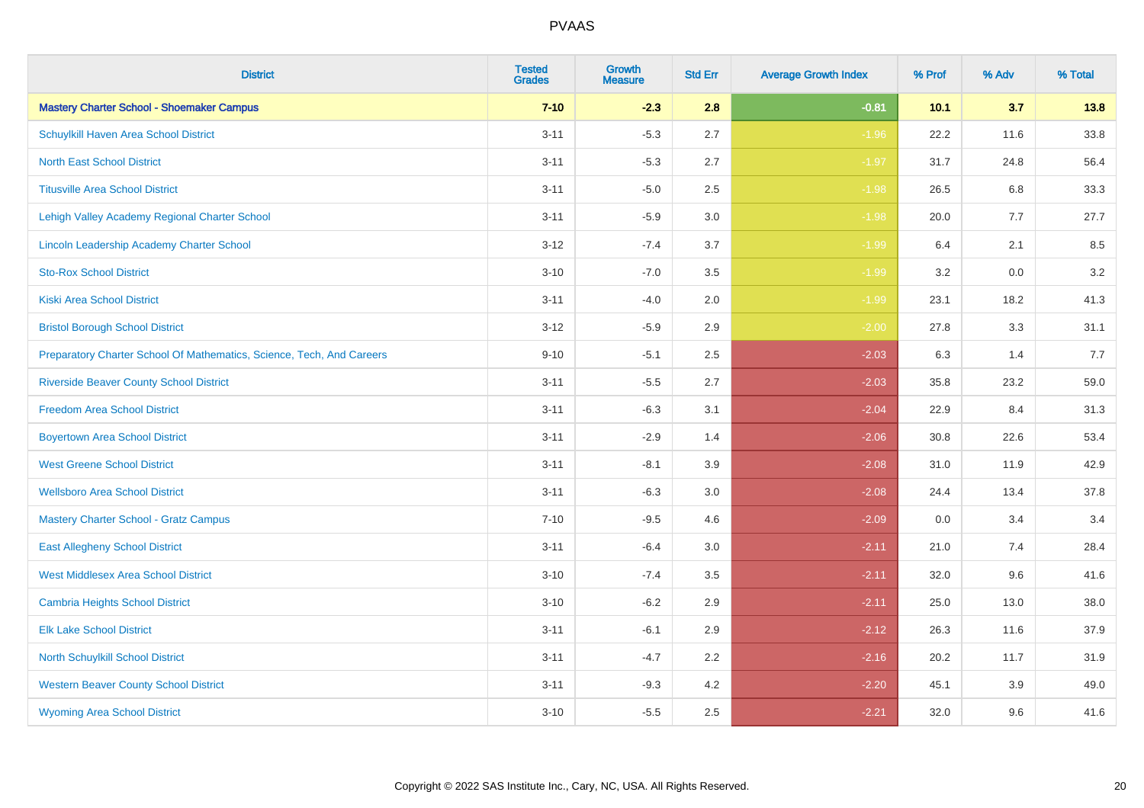| <b>District</b>                                                       | <b>Tested</b><br><b>Grades</b> | <b>Growth</b><br><b>Measure</b> | <b>Std Err</b> | <b>Average Growth Index</b> | % Prof | % Adv | % Total |
|-----------------------------------------------------------------------|--------------------------------|---------------------------------|----------------|-----------------------------|--------|-------|---------|
| <b>Mastery Charter School - Shoemaker Campus</b>                      | $7 - 10$                       | $-2.3$                          | 2.8            | $-0.81$                     | 10.1   | 3.7   | 13.8    |
| Schuylkill Haven Area School District                                 | $3 - 11$                       | $-5.3$                          | 2.7            | $-1.96$                     | 22.2   | 11.6  | 33.8    |
| <b>North East School District</b>                                     | $3 - 11$                       | $-5.3$                          | 2.7            | $-1.97$                     | 31.7   | 24.8  | 56.4    |
| <b>Titusville Area School District</b>                                | $3 - 11$                       | $-5.0$                          | 2.5            | $-1.98$                     | 26.5   | 6.8   | 33.3    |
| Lehigh Valley Academy Regional Charter School                         | $3 - 11$                       | $-5.9$                          | 3.0            | $-1.98$                     | 20.0   | 7.7   | 27.7    |
| <b>Lincoln Leadership Academy Charter School</b>                      | $3 - 12$                       | $-7.4$                          | 3.7            | $-1.99$                     | 6.4    | 2.1   | 8.5     |
| <b>Sto-Rox School District</b>                                        | $3 - 10$                       | $-7.0$                          | 3.5            | $-1.99$                     | 3.2    | 0.0   | 3.2     |
| <b>Kiski Area School District</b>                                     | $3 - 11$                       | $-4.0$                          | 2.0            | $-1.99$                     | 23.1   | 18.2  | 41.3    |
| <b>Bristol Borough School District</b>                                | $3 - 12$                       | $-5.9$                          | 2.9            | $-2.00$                     | 27.8   | 3.3   | 31.1    |
| Preparatory Charter School Of Mathematics, Science, Tech, And Careers | $9 - 10$                       | $-5.1$                          | 2.5            | $-2.03$                     | 6.3    | 1.4   | 7.7     |
| <b>Riverside Beaver County School District</b>                        | $3 - 11$                       | $-5.5$                          | 2.7            | $-2.03$                     | 35.8   | 23.2  | 59.0    |
| <b>Freedom Area School District</b>                                   | $3 - 11$                       | $-6.3$                          | 3.1            | $-2.04$                     | 22.9   | 8.4   | 31.3    |
| <b>Boyertown Area School District</b>                                 | $3 - 11$                       | $-2.9$                          | 1.4            | $-2.06$                     | 30.8   | 22.6  | 53.4    |
| <b>West Greene School District</b>                                    | $3 - 11$                       | $-8.1$                          | 3.9            | $-2.08$                     | 31.0   | 11.9  | 42.9    |
| <b>Wellsboro Area School District</b>                                 | $3 - 11$                       | $-6.3$                          | 3.0            | $-2.08$                     | 24.4   | 13.4  | 37.8    |
| <b>Mastery Charter School - Gratz Campus</b>                          | $7 - 10$                       | $-9.5$                          | 4.6            | $-2.09$                     | 0.0    | 3.4   | 3.4     |
| <b>East Allegheny School District</b>                                 | $3 - 11$                       | $-6.4$                          | 3.0            | $-2.11$                     | 21.0   | 7.4   | 28.4    |
| <b>West Middlesex Area School District</b>                            | $3 - 10$                       | $-7.4$                          | 3.5            | $-2.11$                     | 32.0   | 9.6   | 41.6    |
| <b>Cambria Heights School District</b>                                | $3 - 10$                       | $-6.2$                          | 2.9            | $-2.11$                     | 25.0   | 13.0  | 38.0    |
| <b>Elk Lake School District</b>                                       | $3 - 11$                       | $-6.1$                          | 2.9            | $-2.12$                     | 26.3   | 11.6  | 37.9    |
| <b>North Schuylkill School District</b>                               | $3 - 11$                       | $-4.7$                          | 2.2            | $-2.16$                     | 20.2   | 11.7  | 31.9    |
| <b>Western Beaver County School District</b>                          | $3 - 11$                       | $-9.3$                          | 4.2            | $-2.20$                     | 45.1   | 3.9   | 49.0    |
| <b>Wyoming Area School District</b>                                   | $3 - 10$                       | $-5.5$                          | 2.5            | $-2.21$                     | 32.0   | 9.6   | 41.6    |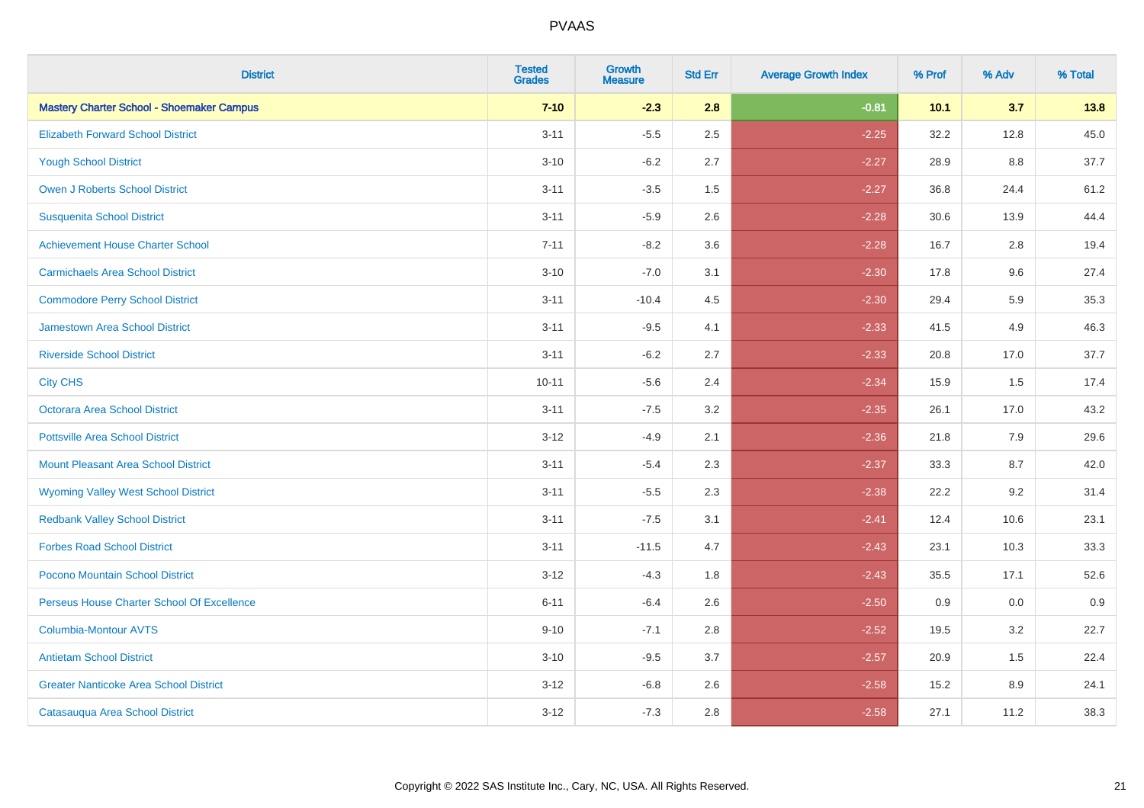| <b>District</b>                                  | <b>Tested</b><br><b>Grades</b> | Growth<br><b>Measure</b> | <b>Std Err</b> | <b>Average Growth Index</b> | % Prof | % Adv | % Total |
|--------------------------------------------------|--------------------------------|--------------------------|----------------|-----------------------------|--------|-------|---------|
| <b>Mastery Charter School - Shoemaker Campus</b> | $7 - 10$                       | $-2.3$                   | 2.8            | $-0.81$                     | 10.1   | 3.7   | 13.8    |
| <b>Elizabeth Forward School District</b>         | $3 - 11$                       | $-5.5$                   | 2.5            | $-2.25$                     | 32.2   | 12.8  | 45.0    |
| <b>Yough School District</b>                     | $3 - 10$                       | $-6.2$                   | 2.7            | $-2.27$                     | 28.9   | 8.8   | 37.7    |
| <b>Owen J Roberts School District</b>            | $3 - 11$                       | $-3.5$                   | 1.5            | $-2.27$                     | 36.8   | 24.4  | 61.2    |
| <b>Susquenita School District</b>                | $3 - 11$                       | $-5.9$                   | 2.6            | $-2.28$                     | 30.6   | 13.9  | 44.4    |
| <b>Achievement House Charter School</b>          | $7 - 11$                       | $-8.2$                   | 3.6            | $-2.28$                     | 16.7   | 2.8   | 19.4    |
| <b>Carmichaels Area School District</b>          | $3 - 10$                       | $-7.0$                   | 3.1            | $-2.30$                     | 17.8   | 9.6   | 27.4    |
| <b>Commodore Perry School District</b>           | $3 - 11$                       | $-10.4$                  | 4.5            | $-2.30$                     | 29.4   | 5.9   | 35.3    |
| Jamestown Area School District                   | $3 - 11$                       | $-9.5$                   | 4.1            | $-2.33$                     | 41.5   | 4.9   | 46.3    |
| <b>Riverside School District</b>                 | $3 - 11$                       | $-6.2$                   | 2.7            | $-2.33$                     | 20.8   | 17.0  | 37.7    |
| <b>City CHS</b>                                  | $10 - 11$                      | $-5.6$                   | 2.4            | $-2.34$                     | 15.9   | 1.5   | 17.4    |
| Octorara Area School District                    | $3 - 11$                       | $-7.5$                   | 3.2            | $-2.35$                     | 26.1   | 17.0  | 43.2    |
| <b>Pottsville Area School District</b>           | $3 - 12$                       | $-4.9$                   | 2.1            | $-2.36$                     | 21.8   | 7.9   | 29.6    |
| <b>Mount Pleasant Area School District</b>       | $3 - 11$                       | $-5.4$                   | 2.3            | $-2.37$                     | 33.3   | 8.7   | 42.0    |
| <b>Wyoming Valley West School District</b>       | $3 - 11$                       | $-5.5$                   | 2.3            | $-2.38$                     | 22.2   | 9.2   | 31.4    |
| <b>Redbank Valley School District</b>            | $3 - 11$                       | $-7.5$                   | 3.1            | $-2.41$                     | 12.4   | 10.6  | 23.1    |
| <b>Forbes Road School District</b>               | $3 - 11$                       | $-11.5$                  | 4.7            | $-2.43$                     | 23.1   | 10.3  | 33.3    |
| Pocono Mountain School District                  | $3 - 12$                       | $-4.3$                   | 1.8            | $-2.43$                     | 35.5   | 17.1  | 52.6    |
| Perseus House Charter School Of Excellence       | $6 - 11$                       | $-6.4$                   | 2.6            | $-2.50$                     | 0.9    | 0.0   | 0.9     |
| <b>Columbia-Montour AVTS</b>                     | $9 - 10$                       | $-7.1$                   | 2.8            | $-2.52$                     | 19.5   | 3.2   | 22.7    |
| <b>Antietam School District</b>                  | $3 - 10$                       | $-9.5$                   | 3.7            | $-2.57$                     | 20.9   | 1.5   | 22.4    |
| <b>Greater Nanticoke Area School District</b>    | $3 - 12$                       | $-6.8$                   | 2.6            | $-2.58$                     | 15.2   | 8.9   | 24.1    |
| Catasauqua Area School District                  | $3 - 12$                       | $-7.3$                   | 2.8            | $-2.58$                     | 27.1   | 11.2  | 38.3    |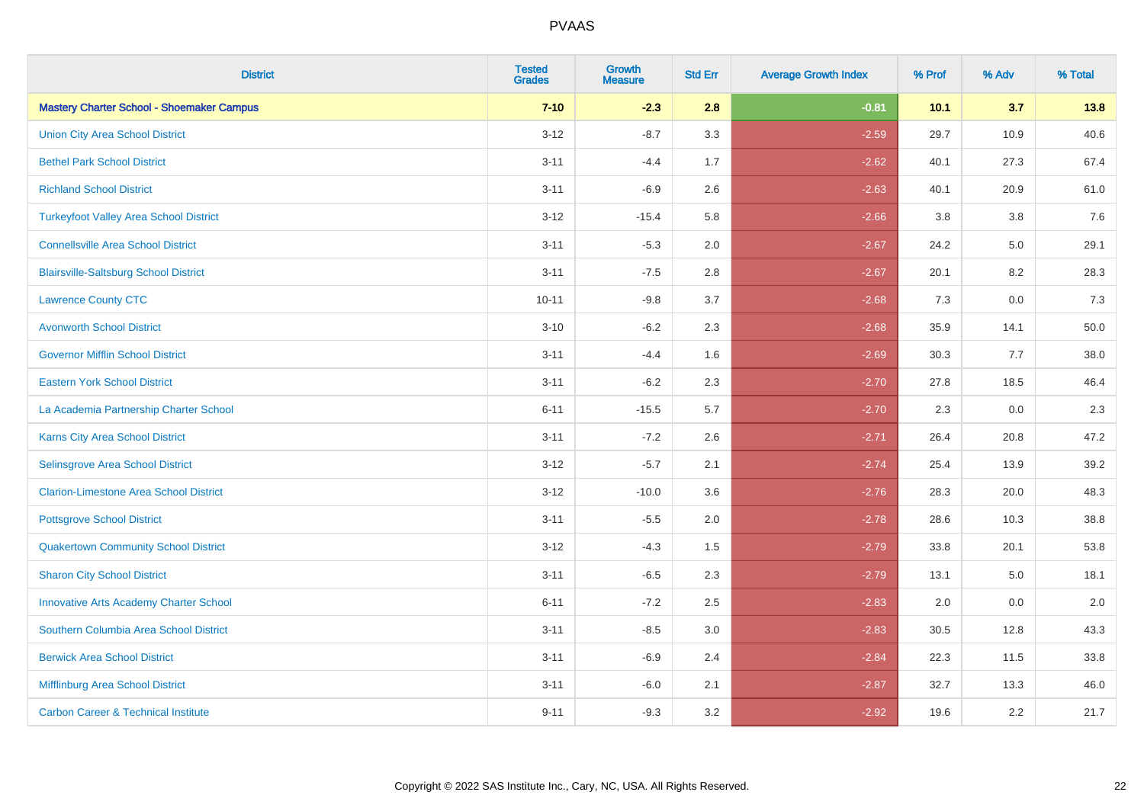| <b>District</b>                                  | <b>Tested</b><br><b>Grades</b> | Growth<br><b>Measure</b> | <b>Std Err</b> | <b>Average Growth Index</b> | % Prof | % Adv | % Total |
|--------------------------------------------------|--------------------------------|--------------------------|----------------|-----------------------------|--------|-------|---------|
| <b>Mastery Charter School - Shoemaker Campus</b> | $7 - 10$                       | $-2.3$                   | 2.8            | $-0.81$                     | 10.1   | 3.7   | 13.8    |
| <b>Union City Area School District</b>           | $3 - 12$                       | $-8.7$                   | 3.3            | $-2.59$                     | 29.7   | 10.9  | 40.6    |
| <b>Bethel Park School District</b>               | $3 - 11$                       | $-4.4$                   | 1.7            | $-2.62$                     | 40.1   | 27.3  | 67.4    |
| <b>Richland School District</b>                  | $3 - 11$                       | $-6.9$                   | 2.6            | $-2.63$                     | 40.1   | 20.9  | 61.0    |
| <b>Turkeyfoot Valley Area School District</b>    | $3 - 12$                       | $-15.4$                  | 5.8            | $-2.66$                     | 3.8    | 3.8   | 7.6     |
| <b>Connellsville Area School District</b>        | $3 - 11$                       | $-5.3$                   | 2.0            | $-2.67$                     | 24.2   | 5.0   | 29.1    |
| <b>Blairsville-Saltsburg School District</b>     | $3 - 11$                       | $-7.5$                   | 2.8            | $-2.67$                     | 20.1   | 8.2   | 28.3    |
| <b>Lawrence County CTC</b>                       | $10 - 11$                      | $-9.8$                   | 3.7            | $-2.68$                     | 7.3    | 0.0   | 7.3     |
| <b>Avonworth School District</b>                 | $3 - 10$                       | $-6.2$                   | 2.3            | $-2.68$                     | 35.9   | 14.1  | 50.0    |
| <b>Governor Mifflin School District</b>          | $3 - 11$                       | $-4.4$                   | 1.6            | $-2.69$                     | 30.3   | 7.7   | 38.0    |
| <b>Eastern York School District</b>              | $3 - 11$                       | $-6.2$                   | 2.3            | $-2.70$                     | 27.8   | 18.5  | 46.4    |
| La Academia Partnership Charter School           | $6 - 11$                       | $-15.5$                  | 5.7            | $-2.70$                     | 2.3    | 0.0   | 2.3     |
| Karns City Area School District                  | $3 - 11$                       | $-7.2$                   | 2.6            | $-2.71$                     | 26.4   | 20.8  | 47.2    |
| Selinsgrove Area School District                 | $3 - 12$                       | $-5.7$                   | 2.1            | $-2.74$                     | 25.4   | 13.9  | 39.2    |
| <b>Clarion-Limestone Area School District</b>    | $3 - 12$                       | $-10.0$                  | 3.6            | $-2.76$                     | 28.3   | 20.0  | 48.3    |
| <b>Pottsgrove School District</b>                | $3 - 11$                       | $-5.5$                   | 2.0            | $-2.78$                     | 28.6   | 10.3  | 38.8    |
| <b>Quakertown Community School District</b>      | $3 - 12$                       | $-4.3$                   | 1.5            | $-2.79$                     | 33.8   | 20.1  | 53.8    |
| <b>Sharon City School District</b>               | $3 - 11$                       | $-6.5$                   | 2.3            | $-2.79$                     | 13.1   | 5.0   | 18.1    |
| <b>Innovative Arts Academy Charter School</b>    | $6 - 11$                       | $-7.2$                   | 2.5            | $-2.83$                     | 2.0    | 0.0   | 2.0     |
| Southern Columbia Area School District           | $3 - 11$                       | $-8.5$                   | 3.0            | $-2.83$                     | 30.5   | 12.8  | 43.3    |
| <b>Berwick Area School District</b>              | $3 - 11$                       | $-6.9$                   | 2.4            | $-2.84$                     | 22.3   | 11.5  | 33.8    |
| Mifflinburg Area School District                 | $3 - 11$                       | $-6.0$                   | 2.1            | $-2.87$                     | 32.7   | 13.3  | 46.0    |
| <b>Carbon Career &amp; Technical Institute</b>   | $9 - 11$                       | $-9.3$                   | 3.2            | $-2.92$                     | 19.6   | 2.2   | 21.7    |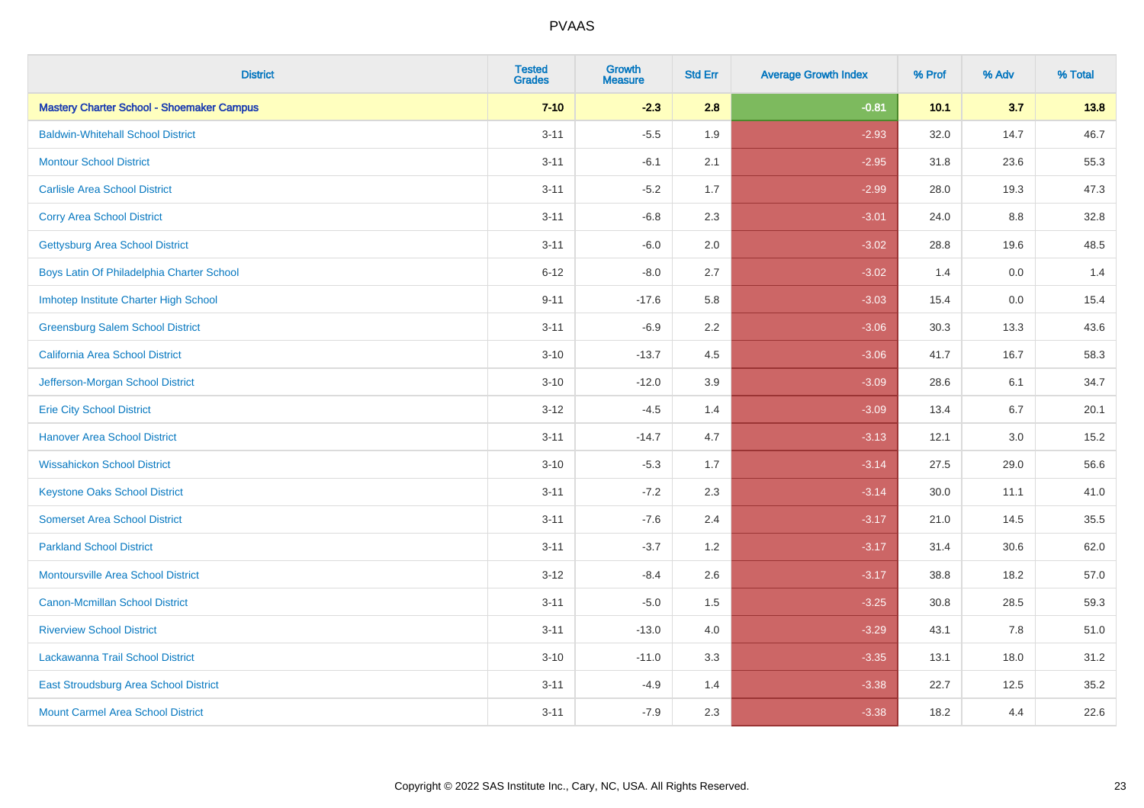| <b>District</b>                                  | <b>Tested</b><br><b>Grades</b> | <b>Growth</b><br><b>Measure</b> | <b>Std Err</b> | <b>Average Growth Index</b> | % Prof | % Adv   | % Total |
|--------------------------------------------------|--------------------------------|---------------------------------|----------------|-----------------------------|--------|---------|---------|
| <b>Mastery Charter School - Shoemaker Campus</b> | $7 - 10$                       | $-2.3$                          | 2.8            | $-0.81$                     | 10.1   | 3.7     | 13.8    |
| <b>Baldwin-Whitehall School District</b>         | $3 - 11$                       | $-5.5$                          | 1.9            | $-2.93$                     | 32.0   | 14.7    | 46.7    |
| <b>Montour School District</b>                   | $3 - 11$                       | $-6.1$                          | 2.1            | $-2.95$                     | 31.8   | 23.6    | 55.3    |
| <b>Carlisle Area School District</b>             | $3 - 11$                       | $-5.2$                          | 1.7            | $-2.99$                     | 28.0   | 19.3    | 47.3    |
| <b>Corry Area School District</b>                | $3 - 11$                       | $-6.8$                          | 2.3            | $-3.01$                     | 24.0   | 8.8     | 32.8    |
| <b>Gettysburg Area School District</b>           | $3 - 11$                       | $-6.0$                          | 2.0            | $-3.02$                     | 28.8   | 19.6    | 48.5    |
| Boys Latin Of Philadelphia Charter School        | $6 - 12$                       | $-8.0$                          | 2.7            | $-3.02$                     | 1.4    | 0.0     | 1.4     |
| Imhotep Institute Charter High School            | $9 - 11$                       | $-17.6$                         | 5.8            | $-3.03$                     | 15.4   | 0.0     | 15.4    |
| <b>Greensburg Salem School District</b>          | $3 - 11$                       | $-6.9$                          | 2.2            | $-3.06$                     | 30.3   | 13.3    | 43.6    |
| California Area School District                  | $3 - 10$                       | $-13.7$                         | 4.5            | $-3.06$                     | 41.7   | 16.7    | 58.3    |
| Jefferson-Morgan School District                 | $3 - 10$                       | $-12.0$                         | 3.9            | $-3.09$                     | 28.6   | 6.1     | 34.7    |
| <b>Erie City School District</b>                 | $3 - 12$                       | $-4.5$                          | 1.4            | $-3.09$                     | 13.4   | 6.7     | 20.1    |
| <b>Hanover Area School District</b>              | $3 - 11$                       | $-14.7$                         | 4.7            | $-3.13$                     | 12.1   | $3.0\,$ | 15.2    |
| <b>Wissahickon School District</b>               | $3 - 10$                       | $-5.3$                          | 1.7            | $-3.14$                     | 27.5   | 29.0    | 56.6    |
| <b>Keystone Oaks School District</b>             | $3 - 11$                       | $-7.2$                          | 2.3            | $-3.14$                     | 30.0   | 11.1    | 41.0    |
| <b>Somerset Area School District</b>             | $3 - 11$                       | $-7.6$                          | 2.4            | $-3.17$                     | 21.0   | 14.5    | 35.5    |
| <b>Parkland School District</b>                  | $3 - 11$                       | $-3.7$                          | 1.2            | $-3.17$                     | 31.4   | 30.6    | 62.0    |
| <b>Montoursville Area School District</b>        | $3-12$                         | $-8.4$                          | 2.6            | $-3.17$                     | 38.8   | 18.2    | 57.0    |
| <b>Canon-Mcmillan School District</b>            | $3 - 11$                       | $-5.0$                          | 1.5            | $-3.25$                     | 30.8   | 28.5    | 59.3    |
| <b>Riverview School District</b>                 | $3 - 11$                       | $-13.0$                         | 4.0            | $-3.29$                     | 43.1   | 7.8     | 51.0    |
| Lackawanna Trail School District                 | $3 - 10$                       | $-11.0$                         | 3.3            | $-3.35$                     | 13.1   | 18.0    | 31.2    |
| East Stroudsburg Area School District            | $3 - 11$                       | $-4.9$                          | 1.4            | $-3.38$                     | 22.7   | 12.5    | 35.2    |
| <b>Mount Carmel Area School District</b>         | $3 - 11$                       | $-7.9$                          | 2.3            | $-3.38$                     | 18.2   | 4.4     | 22.6    |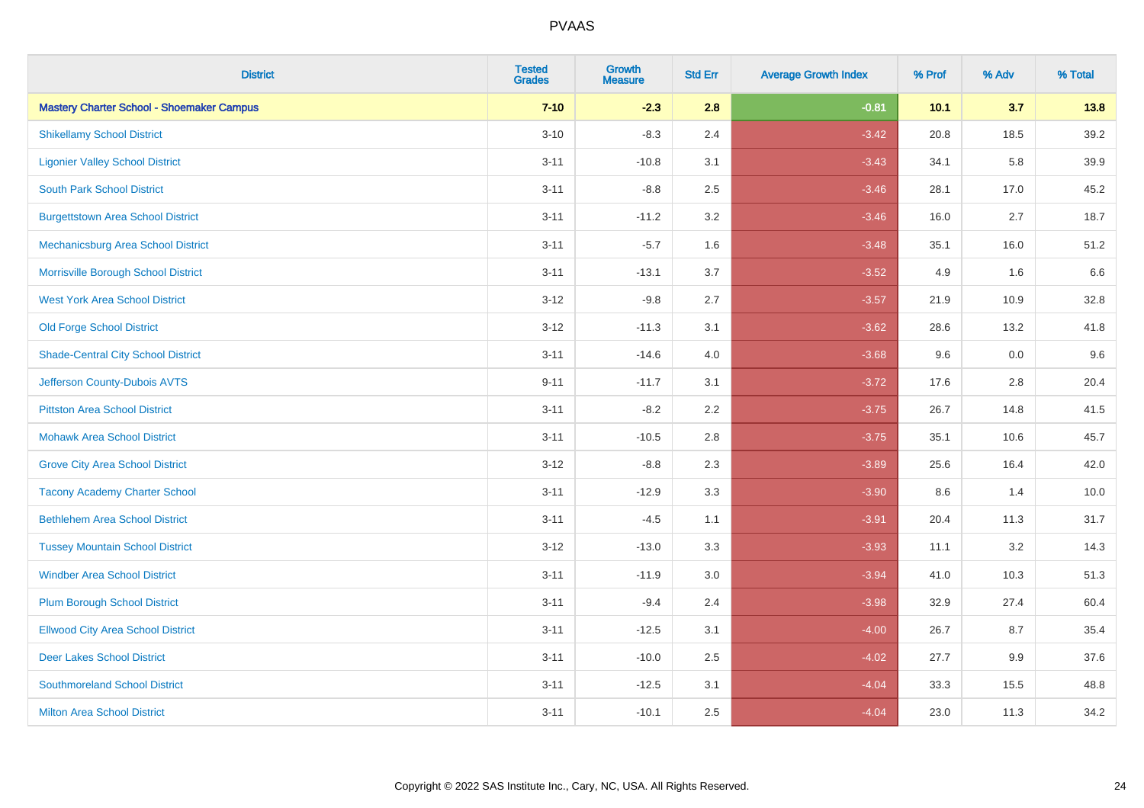| <b>District</b>                                  | <b>Tested</b><br><b>Grades</b> | <b>Growth</b><br><b>Measure</b> | <b>Std Err</b> | <b>Average Growth Index</b> | % Prof | % Adv | % Total |
|--------------------------------------------------|--------------------------------|---------------------------------|----------------|-----------------------------|--------|-------|---------|
| <b>Mastery Charter School - Shoemaker Campus</b> | $7 - 10$                       | $-2.3$                          | 2.8            | $-0.81$                     | 10.1   | 3.7   | 13.8    |
| <b>Shikellamy School District</b>                | $3 - 10$                       | $-8.3$                          | 2.4            | $-3.42$                     | 20.8   | 18.5  | 39.2    |
| <b>Ligonier Valley School District</b>           | $3 - 11$                       | $-10.8$                         | 3.1            | $-3.43$                     | 34.1   | 5.8   | 39.9    |
| <b>South Park School District</b>                | $3 - 11$                       | $-8.8$                          | 2.5            | $-3.46$                     | 28.1   | 17.0  | 45.2    |
| <b>Burgettstown Area School District</b>         | $3 - 11$                       | $-11.2$                         | 3.2            | $-3.46$                     | 16.0   | 2.7   | 18.7    |
| Mechanicsburg Area School District               | $3 - 11$                       | $-5.7$                          | 1.6            | $-3.48$                     | 35.1   | 16.0  | 51.2    |
| Morrisville Borough School District              | $3 - 11$                       | $-13.1$                         | 3.7            | $-3.52$                     | 4.9    | 1.6   | 6.6     |
| <b>West York Area School District</b>            | $3 - 12$                       | $-9.8$                          | 2.7            | $-3.57$                     | 21.9   | 10.9  | 32.8    |
| <b>Old Forge School District</b>                 | $3 - 12$                       | $-11.3$                         | 3.1            | $-3.62$                     | 28.6   | 13.2  | 41.8    |
| <b>Shade-Central City School District</b>        | $3 - 11$                       | $-14.6$                         | 4.0            | $-3.68$                     | 9.6    | 0.0   | 9.6     |
| Jefferson County-Dubois AVTS                     | $9 - 11$                       | $-11.7$                         | 3.1            | $-3.72$                     | 17.6   | 2.8   | 20.4    |
| <b>Pittston Area School District</b>             | $3 - 11$                       | $-8.2$                          | 2.2            | $-3.75$                     | 26.7   | 14.8  | 41.5    |
| <b>Mohawk Area School District</b>               | $3 - 11$                       | $-10.5$                         | 2.8            | $-3.75$                     | 35.1   | 10.6  | 45.7    |
| <b>Grove City Area School District</b>           | $3 - 12$                       | $-8.8$                          | 2.3            | $-3.89$                     | 25.6   | 16.4  | 42.0    |
| <b>Tacony Academy Charter School</b>             | $3 - 11$                       | $-12.9$                         | 3.3            | $-3.90$                     | 8.6    | 1.4   | 10.0    |
| <b>Bethlehem Area School District</b>            | $3 - 11$                       | $-4.5$                          | 1.1            | $-3.91$                     | 20.4   | 11.3  | 31.7    |
| <b>Tussey Mountain School District</b>           | $3 - 12$                       | $-13.0$                         | 3.3            | $-3.93$                     | 11.1   | 3.2   | 14.3    |
| <b>Windber Area School District</b>              | $3 - 11$                       | $-11.9$                         | 3.0            | $-3.94$                     | 41.0   | 10.3  | 51.3    |
| <b>Plum Borough School District</b>              | $3 - 11$                       | $-9.4$                          | 2.4            | $-3.98$                     | 32.9   | 27.4  | 60.4    |
| <b>Ellwood City Area School District</b>         | $3 - 11$                       | $-12.5$                         | 3.1            | $-4.00$                     | 26.7   | 8.7   | 35.4    |
| <b>Deer Lakes School District</b>                | $3 - 11$                       | $-10.0$                         | 2.5            | $-4.02$                     | 27.7   | 9.9   | 37.6    |
| <b>Southmoreland School District</b>             | $3 - 11$                       | $-12.5$                         | 3.1            | $-4.04$                     | 33.3   | 15.5  | 48.8    |
| <b>Milton Area School District</b>               | $3 - 11$                       | $-10.1$                         | 2.5            | $-4.04$                     | 23.0   | 11.3  | 34.2    |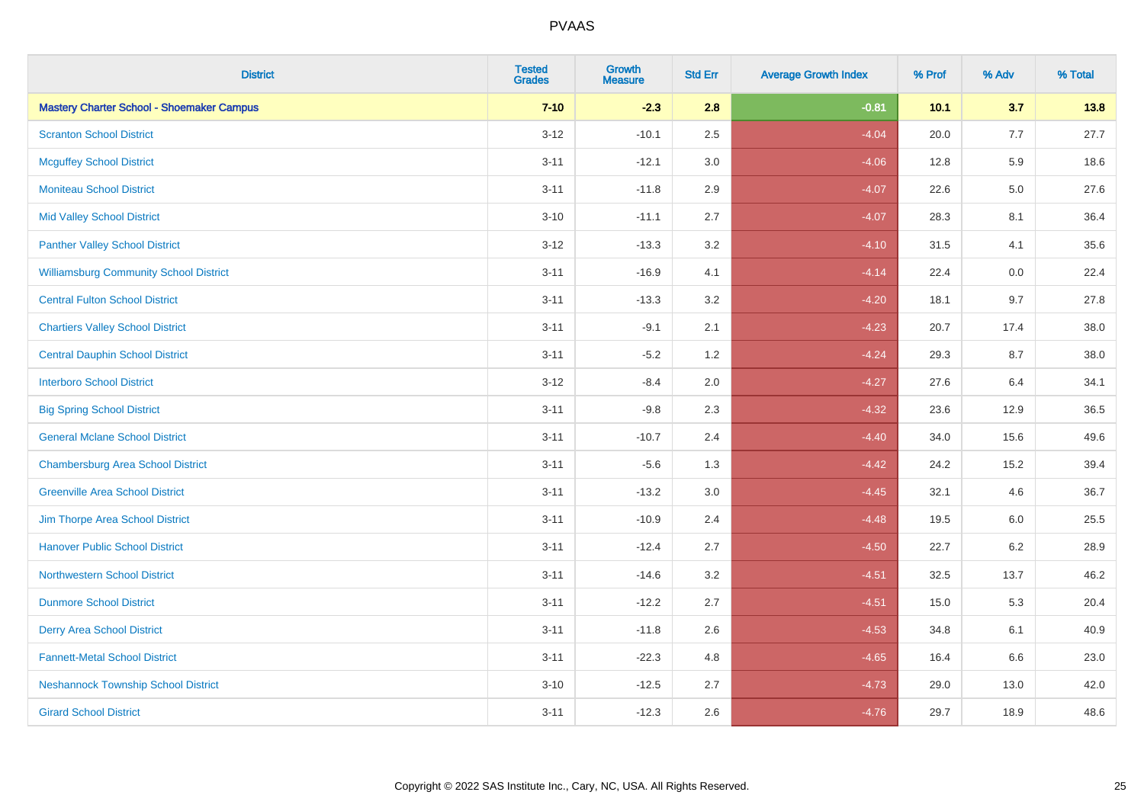| <b>District</b>                                  | <b>Tested</b><br>Grades | <b>Growth</b><br><b>Measure</b> | <b>Std Err</b> | <b>Average Growth Index</b> | % Prof | % Adv   | % Total |
|--------------------------------------------------|-------------------------|---------------------------------|----------------|-----------------------------|--------|---------|---------|
| <b>Mastery Charter School - Shoemaker Campus</b> | $7 - 10$                | $-2.3$                          | 2.8            | $-0.81$                     | 10.1   | 3.7     | 13.8    |
| <b>Scranton School District</b>                  | $3 - 12$                | $-10.1$                         | 2.5            | $-4.04$                     | 20.0   | 7.7     | 27.7    |
| <b>Mcguffey School District</b>                  | $3 - 11$                | $-12.1$                         | 3.0            | $-4.06$                     | 12.8   | 5.9     | 18.6    |
| <b>Moniteau School District</b>                  | $3 - 11$                | $-11.8$                         | 2.9            | $-4.07$                     | 22.6   | $5.0\,$ | 27.6    |
| <b>Mid Valley School District</b>                | $3 - 10$                | $-11.1$                         | 2.7            | $-4.07$                     | 28.3   | 8.1     | 36.4    |
| <b>Panther Valley School District</b>            | $3 - 12$                | $-13.3$                         | 3.2            | $-4.10$                     | 31.5   | 4.1     | 35.6    |
| <b>Williamsburg Community School District</b>    | $3 - 11$                | $-16.9$                         | 4.1            | $-4.14$                     | 22.4   | 0.0     | 22.4    |
| <b>Central Fulton School District</b>            | $3 - 11$                | $-13.3$                         | 3.2            | $-4.20$                     | 18.1   | 9.7     | 27.8    |
| <b>Chartiers Valley School District</b>          | $3 - 11$                | $-9.1$                          | 2.1            | $-4.23$                     | 20.7   | 17.4    | 38.0    |
| <b>Central Dauphin School District</b>           | $3 - 11$                | $-5.2$                          | 1.2            | $-4.24$                     | 29.3   | 8.7     | 38.0    |
| <b>Interboro School District</b>                 | $3-12$                  | $-8.4$                          | 2.0            | $-4.27$                     | 27.6   | 6.4     | 34.1    |
| <b>Big Spring School District</b>                | $3 - 11$                | $-9.8$                          | 2.3            | $-4.32$                     | 23.6   | 12.9    | 36.5    |
| <b>General Mclane School District</b>            | $3 - 11$                | $-10.7$                         | 2.4            | $-4.40$                     | 34.0   | 15.6    | 49.6    |
| <b>Chambersburg Area School District</b>         | $3 - 11$                | $-5.6$                          | 1.3            | $-4.42$                     | 24.2   | 15.2    | 39.4    |
| <b>Greenville Area School District</b>           | $3 - 11$                | $-13.2$                         | $3.0\,$        | $-4.45$                     | 32.1   | 4.6     | 36.7    |
| Jim Thorpe Area School District                  | $3 - 11$                | $-10.9$                         | 2.4            | $-4.48$                     | 19.5   | 6.0     | 25.5    |
| <b>Hanover Public School District</b>            | $3 - 11$                | $-12.4$                         | 2.7            | $-4.50$                     | 22.7   | $6.2\,$ | 28.9    |
| <b>Northwestern School District</b>              | $3 - 11$                | $-14.6$                         | 3.2            | $-4.51$                     | 32.5   | 13.7    | 46.2    |
| <b>Dunmore School District</b>                   | $3 - 11$                | $-12.2$                         | 2.7            | $-4.51$                     | 15.0   | 5.3     | 20.4    |
| <b>Derry Area School District</b>                | $3 - 11$                | $-11.8$                         | 2.6            | $-4.53$                     | 34.8   | 6.1     | 40.9    |
| <b>Fannett-Metal School District</b>             | $3 - 11$                | $-22.3$                         | 4.8            | $-4.65$                     | 16.4   | 6.6     | 23.0    |
| <b>Neshannock Township School District</b>       | $3 - 10$                | $-12.5$                         | 2.7            | $-4.73$                     | 29.0   | 13.0    | 42.0    |
| <b>Girard School District</b>                    | $3 - 11$                | $-12.3$                         | 2.6            | $-4.76$                     | 29.7   | 18.9    | 48.6    |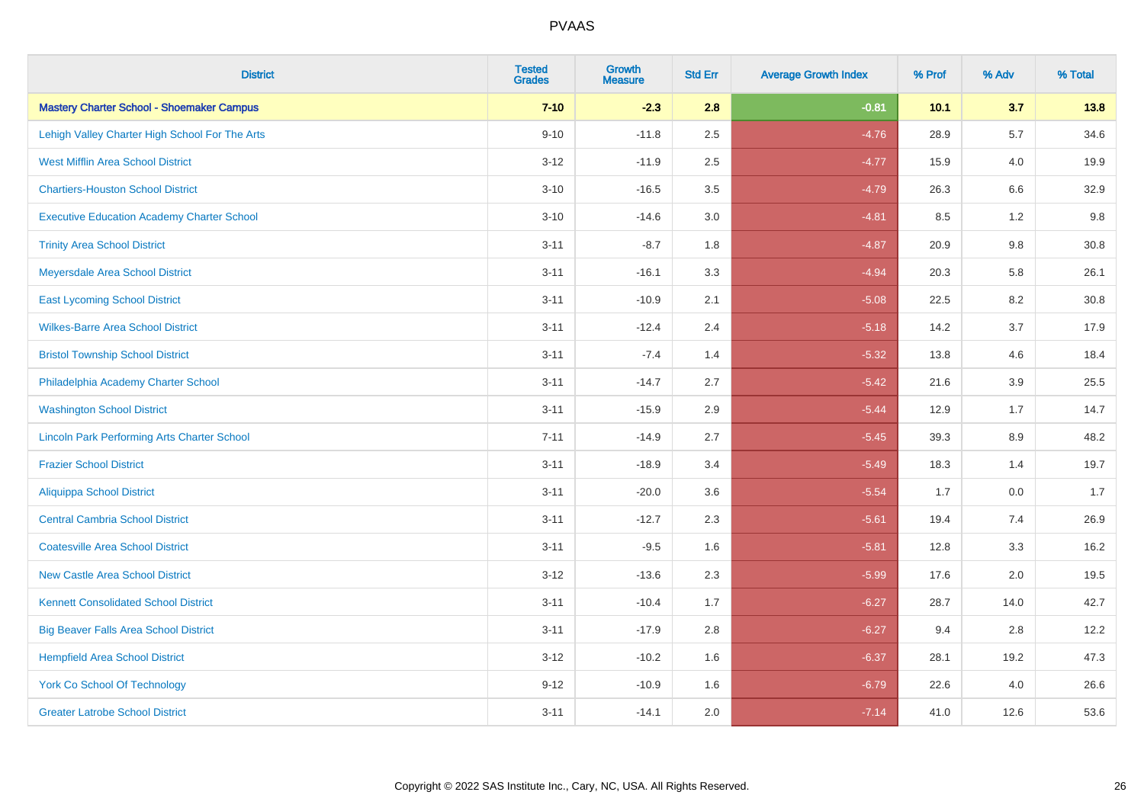| <b>District</b>                                    | <b>Tested</b><br><b>Grades</b> | <b>Growth</b><br><b>Measure</b> | <b>Std Err</b> | <b>Average Growth Index</b> | % Prof | % Adv   | % Total |
|----------------------------------------------------|--------------------------------|---------------------------------|----------------|-----------------------------|--------|---------|---------|
| <b>Mastery Charter School - Shoemaker Campus</b>   | $7 - 10$                       | $-2.3$                          | 2.8            | $-0.81$                     | 10.1   | 3.7     | 13.8    |
| Lehigh Valley Charter High School For The Arts     | $9 - 10$                       | $-11.8$                         | 2.5            | $-4.76$                     | 28.9   | 5.7     | 34.6    |
| <b>West Mifflin Area School District</b>           | $3 - 12$                       | $-11.9$                         | 2.5            | $-4.77$                     | 15.9   | 4.0     | 19.9    |
| <b>Chartiers-Houston School District</b>           | $3 - 10$                       | $-16.5$                         | 3.5            | $-4.79$                     | 26.3   | 6.6     | 32.9    |
| <b>Executive Education Academy Charter School</b>  | $3 - 10$                       | $-14.6$                         | 3.0            | $-4.81$                     | 8.5    | 1.2     | 9.8     |
| <b>Trinity Area School District</b>                | $3 - 11$                       | $-8.7$                          | 1.8            | $-4.87$                     | 20.9   | $9.8\,$ | 30.8    |
| Meyersdale Area School District                    | $3 - 11$                       | $-16.1$                         | 3.3            | $-4.94$                     | 20.3   | 5.8     | 26.1    |
| <b>East Lycoming School District</b>               | $3 - 11$                       | $-10.9$                         | 2.1            | $-5.08$                     | 22.5   | 8.2     | 30.8    |
| <b>Wilkes-Barre Area School District</b>           | $3 - 11$                       | $-12.4$                         | 2.4            | $-5.18$                     | 14.2   | 3.7     | 17.9    |
| <b>Bristol Township School District</b>            | $3 - 11$                       | $-7.4$                          | 1.4            | $-5.32$                     | 13.8   | 4.6     | 18.4    |
| Philadelphia Academy Charter School                | $3 - 11$                       | $-14.7$                         | 2.7            | $-5.42$                     | 21.6   | 3.9     | 25.5    |
| <b>Washington School District</b>                  | $3 - 11$                       | $-15.9$                         | 2.9            | $-5.44$                     | 12.9   | 1.7     | 14.7    |
| <b>Lincoln Park Performing Arts Charter School</b> | $7 - 11$                       | $-14.9$                         | 2.7            | $-5.45$                     | 39.3   | $8.9\,$ | 48.2    |
| <b>Frazier School District</b>                     | $3 - 11$                       | $-18.9$                         | 3.4            | $-5.49$                     | 18.3   | 1.4     | 19.7    |
| <b>Aliquippa School District</b>                   | $3 - 11$                       | $-20.0$                         | 3.6            | $-5.54$                     | 1.7    | 0.0     | 1.7     |
| <b>Central Cambria School District</b>             | $3 - 11$                       | $-12.7$                         | 2.3            | $-5.61$                     | 19.4   | 7.4     | 26.9    |
| <b>Coatesville Area School District</b>            | $3 - 11$                       | $-9.5$                          | 1.6            | $-5.81$                     | 12.8   | 3.3     | 16.2    |
| <b>New Castle Area School District</b>             | $3 - 12$                       | $-13.6$                         | 2.3            | $-5.99$                     | 17.6   | 2.0     | 19.5    |
| <b>Kennett Consolidated School District</b>        | $3 - 11$                       | $-10.4$                         | 1.7            | $-6.27$                     | 28.7   | 14.0    | 42.7    |
| <b>Big Beaver Falls Area School District</b>       | $3 - 11$                       | $-17.9$                         | 2.8            | $-6.27$                     | 9.4    | 2.8     | 12.2    |
| <b>Hempfield Area School District</b>              | $3 - 12$                       | $-10.2$                         | 1.6            | $-6.37$                     | 28.1   | 19.2    | 47.3    |
| <b>York Co School Of Technology</b>                | $9 - 12$                       | $-10.9$                         | 1.6            | $-6.79$                     | 22.6   | 4.0     | 26.6    |
| <b>Greater Latrobe School District</b>             | $3 - 11$                       | $-14.1$                         | 2.0            | $-7.14$                     | 41.0   | 12.6    | 53.6    |